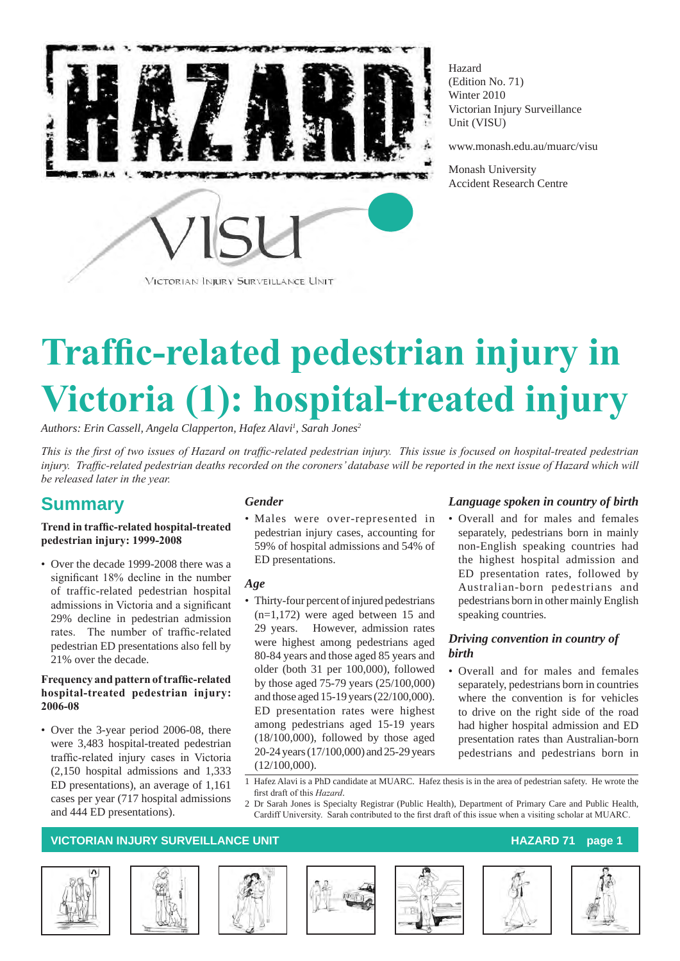

Hazard (Edition No. 71) Winter 2010 Victorian Injury Surveillance Unit (VISU)

www.monash.edu.au/muarc/visu

Monash University Accident Research Centre

# **Traffic-related pedestrian injury in Victoria (1): hospital-treated injury**

*Authors: Erin Cassell, Angela Clapperton, Hafez Alavi1 , Sarah Jones2*

*This is the first of two issues of Hazard on traffic-related pedestrian injury. This issue is focused on hospital-treated pedestrian injury. Traffic-related pedestrian deaths recorded on the coroners' database will be reported in the next issue of Hazard which will be released later in the year.* 

# **Summary**

#### **Trend in traffic-related hospital-treated pedestrian injury: 1999-2008**

• Over the decade 1999-2008 there was a significant 18% decline in the number of traffic-related pedestrian hospital admissions in Victoria and a significant 29% decline in pedestrian admission rates. The number of traffic-related pedestrian ED presentations also fell by 21% over the decade.

#### **Frequency and pattern of traffic-related hospital-treated pedestrian injury: 2006-08**

• Over the 3-year period 2006-08, there were 3,483 hospital-treated pedestrian traffic-related injury cases in Victoria (2,150 hospital admissions and 1,333 ED presentations), an average of 1,161 cases per year (717 hospital admissions and 444 ED presentations).

#### *Gender*

• Males were over-represented in pedestrian injury cases, accounting for 59% of hospital admissions and 54% of ED presentations.

#### *Age*

• Thirty-four percent of injured pedestrians (n=1,172) were aged between 15 and 29 years. However, admission rates were highest among pedestrians aged 80-84 years and those aged 85 years and older (both 31 per 100,000), followed by those aged 75-79 years (25/100,000) and those aged 15-19 years (22/100,000). ED presentation rates were highest among pedestrians aged 15-19 years (18/100,000), followed by those aged 20-24 years (17/100,000) and 25-29 years (12/100,000).

#### *Language spoken in country of birth*

• Overall and for males and females separately, pedestrians born in mainly non-English speaking countries had the highest hospital admission and ED presentation rates, followed by Australian-born pedestrians and pedestrians born in other mainly English speaking countries.

#### *Driving convention in country of birth*

- Overall and for males and females separately, pedestrians born in countries where the convention is for vehicles to drive on the right side of the road had higher hospital admission and ED presentation rates than Australian-born pedestrians and pedestrians born in
- 1 Hafez Alavi is a PhD candidate at MUARC. Hafez thesis is in the area of pedestrian safety. He wrote the first draft of this *Hazard*.
- 2 Dr Sarah Jones is Specialty Registrar (Public Health), Department of Primary Care and Public Health, Cardiff University. Sarah contributed to the first draft of this issue when a visiting scholar at MUARC.













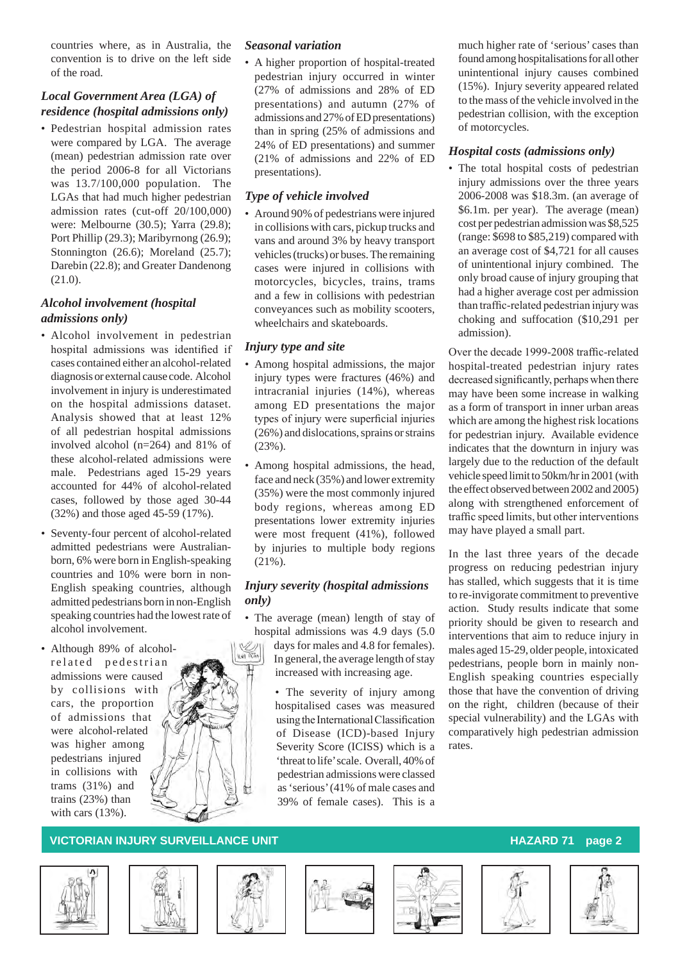countries where, as in Australia, the convention is to drive on the left side of the road.

#### *Local Government Area (LGA) of residence (hospital admissions only)*

• Pedestrian hospital admission rates were compared by LGA. The average (mean) pedestrian admission rate over the period 2006-8 for all Victorians was 13.7/100,000 population. The LGAs that had much higher pedestrian admission rates (cut-off 20/100,000) were: Melbourne (30.5); Yarra (29.8); Port Phillip (29.3); Maribyrnong (26.9); Stonnington (26.6); Moreland (25.7); Darebin (22.8); and Greater Dandenong (21.0).

### *Alcohol involvement (hospital admissions only)*

- Alcohol involvement in pedestrian hospital admissions was identified if cases contained either an alcohol-related diagnosis or external cause code. Alcohol involvement in injury is underestimated on the hospital admissions dataset. Analysis showed that at least 12% of all pedestrian hospital admissions involved alcohol (n=264) and 81% of these alcohol-related admissions were male. Pedestrians aged 15-29 years accounted for 44% of alcohol-related cases, followed by those aged 30-44 (32%) and those aged 45-59 (17%).
- Seventy-four percent of alcohol-related admitted pedestrians were Australianborn, 6% were born in English-speaking countries and 10% were born in non-English speaking countries, although admitted pedestrians born in non-English speaking countries had the lowest rate of alcohol involvement.
- Although 89% of alcoholrelated pedestrian admissions were caused by collisions with cars, the proportion of admissions that were alcohol-related was higher among pedestrians injured in collisions with trams (31%) and trains (23%) than with cars (13%).



#### *Seasonal variation*

• A higher proportion of hospital-treated pedestrian injury occurred in winter (27% of admissions and 28% of ED presentations) and autumn (27% of admissions and 27% of ED presentations) than in spring (25% of admissions and 24% of ED presentations) and summer (21% of admissions and 22% of ED presentations).

### *Type of vehicle involved*

• Around 90% of pedestrians were injured in collisions with cars, pickup trucks and vans and around 3% by heavy transport vehicles (trucks) or buses. The remaining cases were injured in collisions with motorcycles, bicycles, trains, trams and a few in collisions with pedestrian conveyances such as mobility scooters, wheelchairs and skateboards.

### *Injury type and site*

- • Among hospital admissions, the major injury types were fractures (46%) and intracranial injuries (14%), whereas among ED presentations the major types of injury were superficial injuries (26%) and dislocations, sprains or strains (23%).
- • Among hospital admissions, the head, face and neck (35%) and lower extremity (35%) were the most commonly injured body regions, whereas among ED presentations lower extremity injuries were most frequent (41%), followed by injuries to multiple body regions (21%).

#### *Injury severity (hospital admissions only)*

• The average (mean) length of stay of hospital admissions was 4.9 days (5.0 days for males and 4.8 for females). In general, the average length of stay increased with increasing age.

> • The severity of injury among hospitalised cases was measured usingthe InternationalClassification of Disease (ICD)-based Injury Severity Score (ICISS) which is a 'threat to life' scale. Overall, 40% of pedestrian admissions were classed as 'serious' (41% of male cases and 39% of female cases). This is a

much higher rate of 'serious' cases than found among hospitalisations for all other unintentional injury causes combined (15%). Injury severity appeared related to the mass of the vehicle involved in the pedestrian collision, with the exception of motorcycles.

### *Hospital costs (admissions only)*

• The total hospital costs of pedestrian injury admissions over the three years 2006-2008 was \$18.3m. (an average of \$6.1m. per year). The average (mean) cost per pedestrian admission was \$8,525 (range: \$698 to \$85,219) compared with an average cost of \$4,721 for all causes of unintentional injury combined. The only broad cause of injury grouping that had a higher average cost per admission than traffic-related pedestrian injury was choking and suffocation (\$10,291 per admission).

Over the decade 1999-2008 traffic-related hospital-treated pedestrian injury rates decreased significantly, perhaps when there may have been some increase in walking as a form of transport in inner urban areas which are among the highest risk locations for pedestrian injury. Available evidence indicates that the downturn in injury was largely due to the reduction of the default vehicle speed limit to 50km/hr in 2001 (with the effect observed between 2002 and 2005) along with strengthened enforcement of traffic speed limits, but other interventions may have played a small part.

In the last three years of the decade progress on reducing pedestrian injury has stalled, which suggests that it is time to re-invigorate commitment to preventive action. Study results indicate that some priority should be given to research and interventions that aim to reduce injury in males aged 15-29, older people, intoxicated pedestrians, people born in mainly non-English speaking countries especially those that have the convention of driving on the right, children (because of their special vulnerability) and the LGAs with comparatively high pedestrian admission rates.











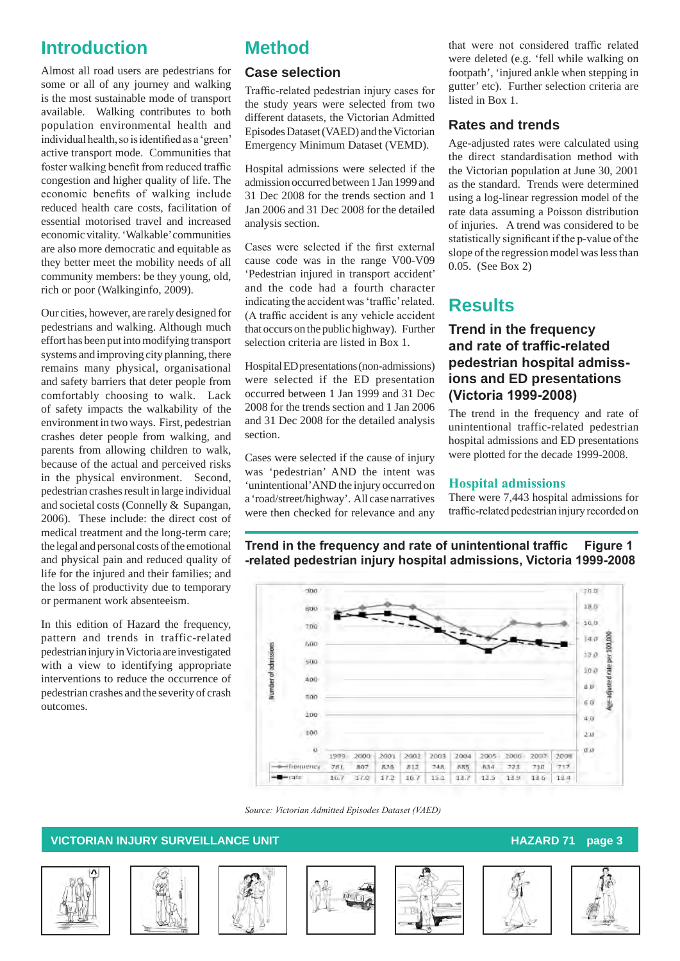# **Introduction**

Almost all road users are pedestrians for some or all of any journey and walking is the most sustainable mode of transport available. Walking contributes to both population environmental health and individual health, so is identified as a 'green' active transport mode. Communities that foster walking benefit from reduced traffic congestion and higher quality of life. The economic benefits of walking include reduced health care costs, facilitation of essential motorised travel and increased economic vitality. 'Walkable' communities are also more democratic and equitable as they better meet the mobility needs of all community members: be they young, old, rich or poor (Walkinginfo, 2009).

Our cities, however, are rarely designed for pedestrians and walking. Although much effort has been put into modifying transport systems and improving city planning, there remains many physical, organisational and safety barriers that deter people from comfortably choosing to walk. Lack of safety impacts the walkability of the environment in two ways. First, pedestrian crashes deter people from walking, and parents from allowing children to walk, because of the actual and perceived risks in the physical environment. Second, pedestrian crashes result in large individual and societal costs (Connelly & Supangan, 2006). These include: the direct cost of medical treatment and the long-term care; the legal and personal costs of the emotional and physical pain and reduced quality of life for the injured and their families; and the loss of productivity due to temporary or permanent work absenteeism.

In this edition of Hazard the frequency, pattern and trends in traffic-related pedestrian injury in Victoria are investigated with a view to identifying appropriate interventions to reduce the occurrence of pedestrian crashes and the severity of crash outcomes.

# **Method**

### **Case selection**

Traffic-related pedestrian injury cases for the study years were selected from two different datasets, the Victorian Admitted Episodes Dataset (VAED) and the Victorian Emergency Minimum Dataset (VEMD).

Hospital admissions were selected if the admission occurred between 1 Jan 1999 and 31 Dec 2008 for the trends section and 1 Jan 2006 and 31 Dec 2008 for the detailed analysis section.

Cases were selected if the first external cause code was in the range V00-V09 'Pedestrian injured in transport accident' and the code had a fourth character indicating the accidentwas'traffic'related. (A traffic accident is any vehicle accident that occurs on the public highway). Further selection criteria are listed in Box 1.

Hospital ED presentations (non-admissions) were selected if the ED presentation occurred between 1 Jan 1999 and 31 Dec 2008 for the trends section and 1 Jan 2006 and 31 Dec 2008 for the detailed analysis section.

Cases were selected if the cause of injury was 'pedestrian' AND the intent was 'unintentional' AND the injury occurred on a 'road/street/highway'. All case narratives were then checked for relevance and any

that were not considered traffic related were deleted (e.g. 'fell while walking on footpath', 'injured ankle when stepping in gutter' etc). Further selection criteria are listed in Box 1.

### **Rates and trends**

Age-adjusted rates were calculated using the direct standardisation method with the Victorian population at June 30, 2001 as the standard. Trends were determined using a log-linear regression model of the rate data assuming a Poisson distribution of injuries. A trend was considered to be statistically significant if the p-value of the slope of the regression model was less than 0.05. (See Box 2)

# **Results**

### **Trend in the frequency and rate of traffic-related pedestrian hospital admissions and ED presentations (Victoria 1999-2008)**

The trend in the frequency and rate of unintentional traffic-related pedestrian hospital admissions and ED presentations were plotted for the decade 1999-2008.

#### **Hospital admissions**

There were 7,443 hospital admissions for traffic-related pedestrian injury recorded on

**Trend in the frequency and rate of unintentional traffic Figure 1 -related pedestrian injury hospital admissions, Victoria 1999-2008**



*Source: Victorian Admitted Episodes Dataset (VAED)*











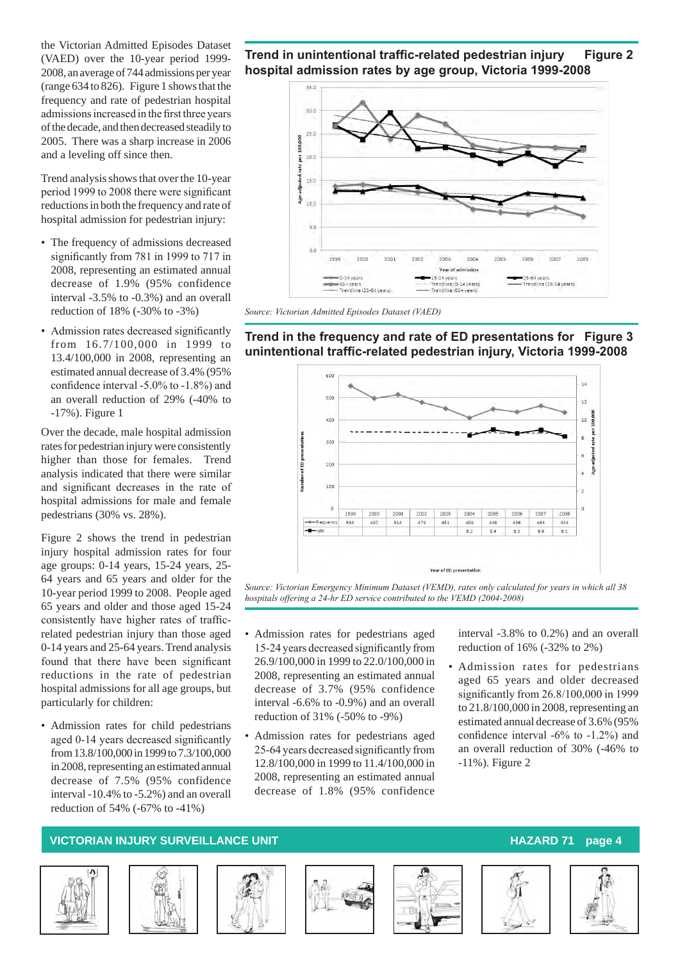the Victorian Admitted Episodes Dataset (VAED) over the 10-year period 1999- 2008, an average of 744 admissions per year (range 634 to 826). Figure 1 shows that the frequency and rate of pedestrian hospital admissionsincreased in the first three years of the decade, and then decreased steadily to 2005. There was a sharp increase in 2006 and a leveling off since then.

Trend analysis shows that over the 10-year period 1999 to 2008 there were significant reductions in both the frequency and rate of hospital admission for pedestrian injury:

- The frequency of admissions decreased significantly from 781 in 1999 to 717 in 2008, representing an estimated annual decrease of 1.9% (95% confidence interval -3.5% to -0.3%) and an overall reduction of 18% (-30% to -3%)
- Admission rates decreased significantly from 16.7/100,000 in 1999 to 13.4/100,000 in 2008, representing an estimated annual decrease of 3.4% (95% confidence interval -5.0% to -1.8%) and an overall reduction of 29% (-40% to -17%). Figure 1

Over the decade, male hospital admission rates for pedestrian injury were consistently higher than those for females. Trend analysis indicated that there were similar and significant decreases in the rate of hospital admissions for male and female pedestrians (30% vs. 28%).

Figure 2 shows the trend in pedestrian injury hospital admission rates for four age groups: 0-14 years, 15-24 years, 25- 64 years and 65 years and older for the 10-year period 1999 to 2008. People aged 65 years and older and those aged 15-24 consistently have higher rates of trafficrelated pedestrian injury than those aged 0-14 years and 25-64 years. Trend analysis found that there have been significant reductions in the rate of pedestrian hospital admissions for all age groups, but particularly for children:

• Admission rates for child pedestrians aged 0-14 years decreased significantly from 13.8/100,000 in 1999 to 7.3/100,000 in 2008, representing an estimated annual decrease of 7.5% (95% confidence interval -10.4% to -5.2%) and an overall reduction of 54% (-67% to -41%)





*Source: Victorian Admitted Episodes Dataset (VAED)*

**Trend in the frequency and rate of ED presentations for Figure 3 unintentional traffic-related pedestrian injury, Victoria 1999-2008**



*Source: Victorian Emergency Minimum Dataset (VEMD), rates only calculated for years in which all 38 hospitals offering a 24-hr ED service contributed to the VEMD (2004-2008)*

- • Admission rates for pedestrians aged 15-24 years decreased significantly from 26.9/100,000 in 1999 to 22.0/100,000 in 2008, representing an estimated annual decrease of 3.7% (95% confidence interval -6.6% to -0.9%) and an overall reduction of 31% (-50% to -9%)
- Admission rates for pedestrians aged 25-64 years decreased significantly from 12.8/100,000 in 1999 to 11.4/100,000 in 2008, representing an estimated annual decrease of 1.8% (95% confidence

interval -3.8% to 0.2%) and an overall reduction of 16% (-32% to 2%)

• Admission rates for pedestrians aged 65 years and older decreased significantly from 26.8/100,000 in 1999 to 21.8/100,000 in 2008, representing an estimated annual decrease of 3.6% (95% confidence interval -6% to -1.2%) and an overall reduction of 30% (-46% to -11%). Figure 2









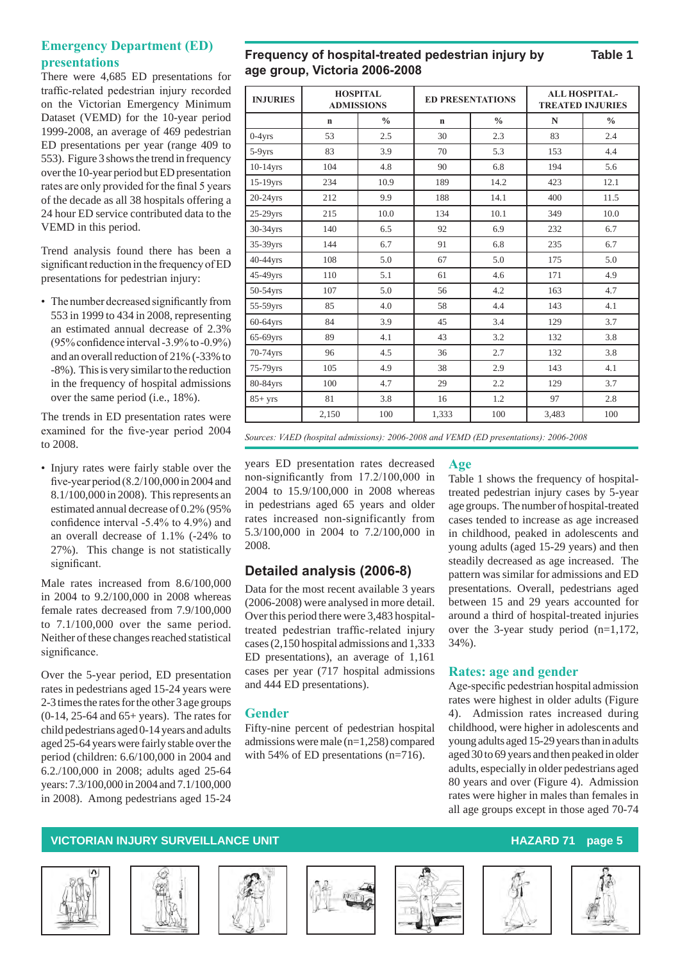### **Emergency Department (ED) presentations**

There were 4,685 ED presentations for traffic-related pedestrian injury recorded on the Victorian Emergency Minimum Dataset (VEMD) for the 10-year period 1999-2008, an average of 469 pedestrian ED presentations per year (range 409 to 553). Figure 3 shows the trend in frequency over the 10-year period but ED presentation rates are only provided for the final 5 years of the decade as all 38 hospitals offering a 24 hour ED service contributed data to the VEMD in this period.

Trend analysis found there has been a significant reduction in the frequency of ED presentations for pedestrian injury:

• The number decreased significantly from 553 in 1999 to 434 in 2008, representing an estimated annual decrease of 2.3% (95%confidence interval-3.9%to -0.9%) and an overall reduction of 21% (-33% to -8%). This is very similar to the reduction in the frequency of hospital admissions over the same period (i.e., 18%).

The trends in ED presentation rates were examined for the five-year period 2004 to 2008.

• Injury rates were fairly stable over the five-year period (8.2/100,000 in 2004 and 8.1/100,000 in 2008). This represents an estimated annual decrease of 0.2% (95% confidence interval -5.4% to 4.9%) and an overall decrease of 1.1% (-24% to 27%). This change is not statistically significant.

Male rates increased from 8.6/100,000 in 2004 to 9.2/100,000 in 2008 whereas female rates decreased from 7.9/100,000 to 7.1/100,000 over the same period. Neither of these changes reached statistical significance.

Over the 5-year period, ED presentation rates in pedestrians aged 15-24 years were 2-3 times the rates for the other 3 age groups (0-14, 25-64 and 65+ years). The rates for child pedestrians aged 0-14 years and adults aged 25-64 years were fairly stable over the period (children: 6.6/100,000 in 2004 and 6.2./100,000 in 2008; adults aged 25-64 years: 7.3/100,000 in 2004 and 7.1/100,000 in 2008). Among pedestrians aged 15-24

**Frequency of hospital-treated pedestrian injury by Table 1 age group, Victoria 2006-2008**

| <b>INJURIES</b> | <b>HOSPITAL</b><br><b>ADMISSIONS</b> |               | <b>ED PRESENTATIONS</b> |               | <b>ALL HOSPITAL-</b><br><b>TREATED INJURIES</b> |               |  |
|-----------------|--------------------------------------|---------------|-------------------------|---------------|-------------------------------------------------|---------------|--|
|                 | $\mathbf n$                          | $\frac{0}{0}$ | $\mathbf n$             | $\frac{0}{0}$ | N                                               | $\frac{0}{0}$ |  |
| $0-4yrs$        | 53                                   | 2.5           | 30                      | 2.3           | 83                                              | 2.4           |  |
| 5-9yrs          | 83                                   | 3.9           | 70                      | 5.3           | 153                                             | 4.4           |  |
| 10-14yrs        | 104                                  | 4.8           | 90                      | 6.8           | 194                                             | 5.6           |  |
| $15-19$ yrs     | 234                                  | 10.9          | 189                     | 14.2          | 423                                             | 12.1          |  |
| $20-24$ yrs     | 212                                  | 9.9           | 188                     | 14.1          | 400                                             | 11.5          |  |
| $25-29$ yrs     | 215                                  | 10.0          | 134                     | 10.1          | 349                                             | 10.0          |  |
| 30-34yrs        | 140                                  | 6.5           | 92                      | 6.9           | 232                                             | 6.7           |  |
| 35-39yrs        | 144                                  | 6.7           | 91                      | 6.8           | 235                                             | 6.7           |  |
| 40-44yrs        | 108                                  | 5.0           | 67                      | 5.0           | 175                                             | 5.0           |  |
| 45-49yrs        | 110                                  | 5.1           | 61                      | 4.6           | 171                                             | 4.9           |  |
| 50-54yrs        | 107                                  | 5.0           | 56                      | 4.2           | 163                                             | 4.7           |  |
| 55-59yrs        | 85                                   | 4.0           | 58                      | 4.4           | 143                                             | 4.1           |  |
| $60-64$ yrs     | 84                                   | 3.9           | 45                      | 3.4           | 129                                             | 3.7           |  |
| $65-69$ yrs     | 89                                   | 4.1           | 43                      | 3.2           | 132                                             | 3.8           |  |
| 70-74yrs        | 96                                   | 4.5           | 36                      | 2.7           | 132                                             | 3.8           |  |
| 75-79yrs        | 105                                  | 4.9           | 38                      | 2.9           | 143                                             | 4.1           |  |
| 80-84yrs        | 100                                  | 4.7           | 29                      | 2.2           | 129                                             | 3.7           |  |
| $85+ yrs$       | 81                                   | 3.8           | 16                      | 1.2           | 97                                              | 2.8           |  |
|                 | 2,150                                | 100           | 1,333                   | 100           | 3,483                                           | 100           |  |

*Sources: VAED (hospital admissions): 2006-2008 and VEMD (ED presentations): 2006-2008* 

years ED presentation rates decreased non-significantly from 17.2/100,000 in 2004 to 15.9/100,000 in 2008 whereas in pedestrians aged 65 years and older rates increased non-significantly from 5.3/100,000 in 2004 to 7.2/100,000 in 2008.

### **Detailed analysis (2006-8)**

Data for the most recent available 3 years (2006-2008) were analysed in more detail. Over this period there were 3,483 hospitaltreated pedestrian traffic-related injury cases (2,150 hospital admissions and 1,333 ED presentations), an average of 1,161 cases per year (717 hospital admissions and 444 ED presentations).

#### **Gender**

Fifty-nine percent of pedestrian hospital admissions were male (n=1,258) compared with 54% of ED presentations (n=716).

### **Age**

Table 1 shows the frequency of hospitaltreated pedestrian injury cases by 5-year age groups. The number of hospital-treated cases tended to increase as age increased in childhood, peaked in adolescents and young adults (aged 15-29 years) and then steadily decreased as age increased. The pattern was similar for admissions and ED presentations. Overall, pedestrians aged between 15 and 29 years accounted for around a third of hospital-treated injuries over the 3-year study period (n=1,172, 34%).

#### **Rates: age and gender**

Age-specific pedestrian hospital admission rates were highest in older adults (Figure 4). Admission rates increased during childhood, were higher in adolescents and young adults aged 15-29 years than in adults aged 30 to 69 years and then peaked in older adults, especially in older pedestrians aged 80 years and over (Figure 4). Admission rates were higher in males than females in all age groups except in those aged 70-74













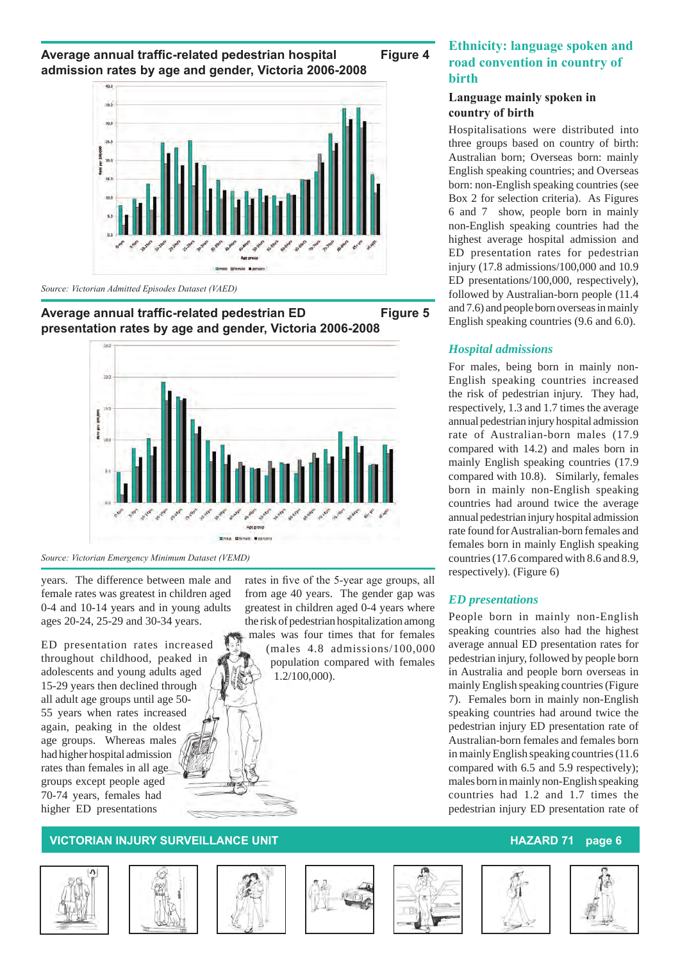Average annual traffic-related pedestrian hospital Figure 4 **admission rates by age and gender, Victoria 2006-2008**



*Source: Victorian Admitted Episodes Dataset (VAED)*





*Source: Victorian Emergency Minimum Dataset (VEMD)*

years. The difference between male and female rates was greatest in children aged 0-4 and 10-14 years and in young adults ages 20-24, 25-29 and 30-34 years.

ED presentation rates increased throughout childhood, peaked in adolescents and young adults aged 15-29 years then declined through all adult age groups until age 50- 55 years when rates increased again, peaking in the oldest age groups. Whereas males had higher hospital admission rates than females in all age groups except people aged 70-74 years, females had higher ED presentations

rates in five of the 5-year age groups, all from age 40 years. The gender gap was greatest in children aged 0-4 years where the risk of pedestrian hospitalization among males was four times that for females (males 4.8 admissions/100,000

population compared with females 1.2/100,000).

### **Ethnicity: language spoken and road convention in country of birth**

#### **Language mainly spoken in country of birth**

Hospitalisations were distributed into three groups based on country of birth: Australian born; Overseas born: mainly English speaking countries; and Overseas born: non-English speaking countries (see Box 2 for selection criteria). As Figures 6 and 7 show, people born in mainly non-English speaking countries had the highest average hospital admission and ED presentation rates for pedestrian injury (17.8 admissions/100,000 and 10.9 ED presentations/100,000, respectively), followed by Australian-born people (11.4 and 7.6) and people born overseas in mainly English speaking countries (9.6 and 6.0).

#### *Hospital admissions*

For males, being born in mainly non-English speaking countries increased the risk of pedestrian injury. They had, respectively, 1.3 and 1.7 times the average annual pedestrian injury hospital admission rate of Australian-born males (17.9 compared with 14.2) and males born in mainly English speaking countries (17.9 compared with 10.8). Similarly, females born in mainly non-English speaking countries had around twice the average annual pedestrian injury hospital admission rate found for Australian-born females and females born in mainly English speaking countries (17.6 compared with 8.6 and 8.9, respectively). (Figure 6)

#### *ED presentations*

People born in mainly non-English speaking countries also had the highest average annual ED presentation rates for pedestrian injury, followed by people born in Australia and people born overseas in mainly English speaking countries (Figure 7). Females born in mainly non-English speaking countries had around twice the pedestrian injury ED presentation rate of Australian-born females and females born in mainly English speaking countries (11.6 compared with 6.5 and 5.9 respectively); males born in mainly non-English speaking countries had 1.2 and 1.7 times the pedestrian injury ED presentation rate of











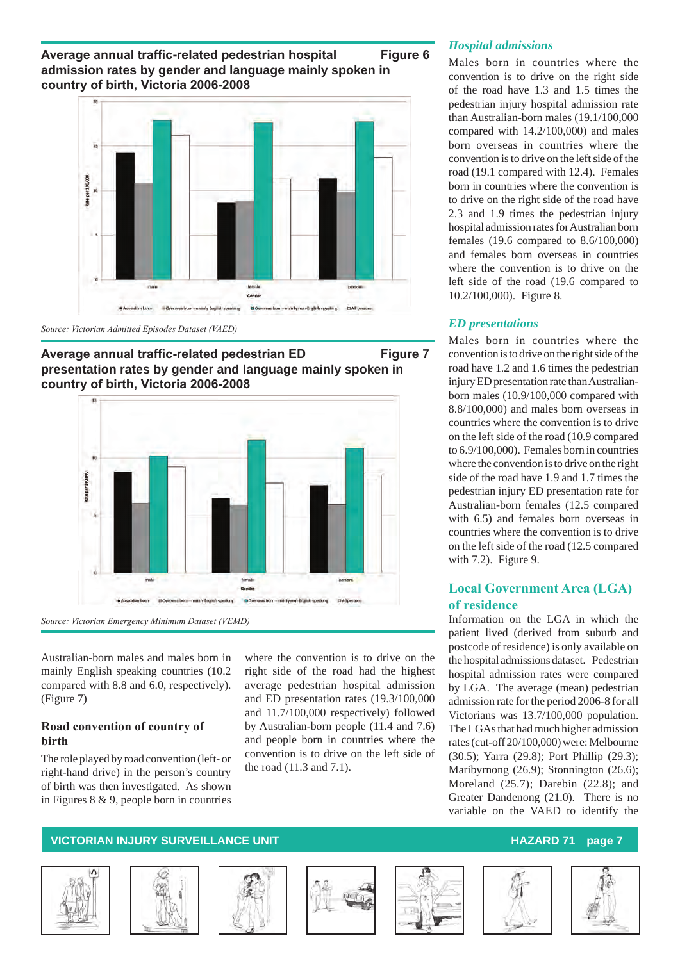Average annual traffic-related pedestrian hospital Figure 6 **admission rates by gender and language mainly spoken in country of birth, Victoria 2006-2008**









*Source: Victorian Emergency Minimum Dataset (VEMD)*

Australian-born males and males born in mainly English speaking countries (10.2 compared with 8.8 and 6.0, respectively). (Figure 7)

#### **Road convention of country of birth**

The role played by road convention (left- or right-hand drive) in the person's country of birth was then investigated. As shown in Figures 8 & 9, people born in countries

where the convention is to drive on the right side of the road had the highest average pedestrian hospital admission and ED presentation rates (19.3/100,000 and 11.7/100,000 respectively) followed by Australian-born people (11.4 and 7.6) and people born in countries where the convention is to drive on the left side of the road (11.3 and 7.1).

#### *Hospital admissions*

Males born in countries where the convention is to drive on the right side of the road have 1.3 and 1.5 times the pedestrian injury hospital admission rate than Australian-born males (19.1/100,000 compared with 14.2/100,000) and males born overseas in countries where the convention is to drive on the left side of the road (19.1 compared with 12.4). Females born in countries where the convention is to drive on the right side of the road have 2.3 and 1.9 times the pedestrian injury hospital admission rates for Australian born females (19.6 compared to 8.6/100,000) and females born overseas in countries where the convention is to drive on the left side of the road (19.6 compared to 10.2/100,000). Figure 8.

### *ED presentations*

Males born in countries where the convention is to drive on the right side of the road have 1.2 and 1.6 times the pedestrian injury ED presentation rate than Australianborn males (10.9/100,000 compared with 8.8/100,000) and males born overseas in countries where the convention is to drive on the left side of the road (10.9 compared to 6.9/100,000). Females born in countries where the convention is to drive on the right side of the road have 1.9 and 1.7 times the pedestrian injury ED presentation rate for Australian-born females (12.5 compared with 6.5) and females born overseas in countries where the convention is to drive on the left side of the road (12.5 compared with 7.2). Figure 9.

### **Local Government Area (LGA) of residence**

Information on the LGA in which the patient lived (derived from suburb and postcode of residence) is only available on the hospital admissions dataset. Pedestrian hospital admission rates were compared by LGA. The average (mean) pedestrian admission rate for the period 2006-8 for all Victorians was 13.7/100,000 population. The LGAs that had much higher admission rates (cut-off 20/100,000) were: Melbourne (30.5); Yarra (29.8); Port Phillip (29.3); Maribyrnong (26.9); Stonnington (26.6); Moreland (25.7); Darebin (22.8); and Greater Dandenong (21.0). There is no variable on the VAED to identify the











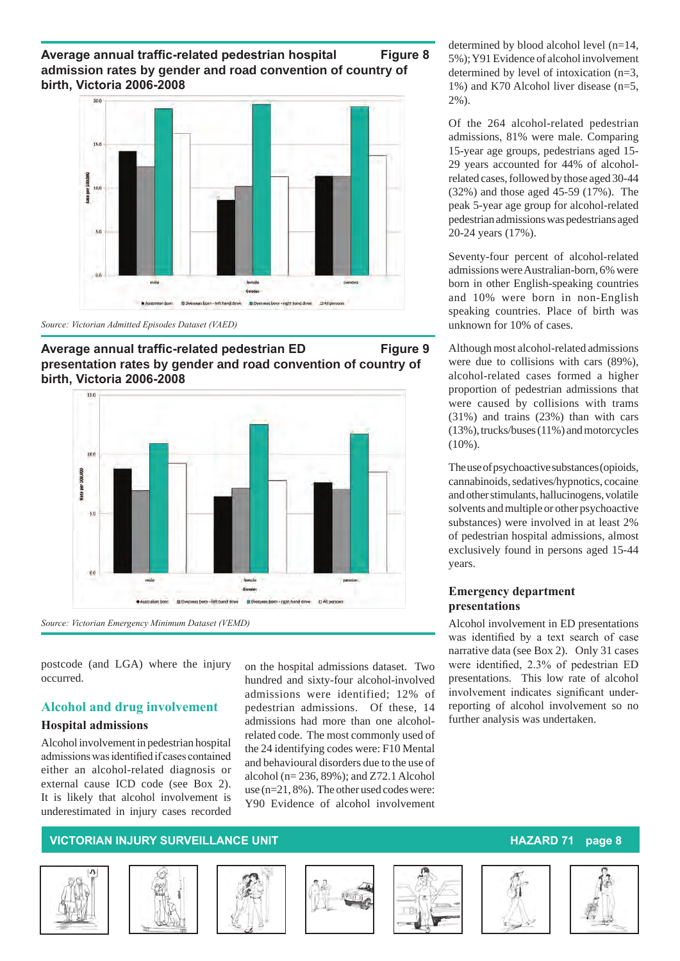**Average annual traffic-related pedestrian hospital Figure 8 admission rates by gender and road convention of country of birth, Victoria 2006-2008**



*Source: Victorian Admitted Episodes Dataset (VAED)*





*Source: Victorian Emergency Minimum Dataset (VEMD)*

postcode (and LGA) where the injury occurred.

#### **Alcohol and drug involvement**

#### **Hospital admissions**

Alcohol involvement in pedestrian hospital admissionswasidentified if cases contained either an alcohol-related diagnosis or external cause ICD code (see Box 2). It is likely that alcohol involvement is underestimated in injury cases recorded on the hospital admissions dataset. Two hundred and sixty-four alcohol-involved admissions were identified; 12% of pedestrian admissions. Of these, 14 admissions had more than one alcoholrelated code. The most commonly used of the 24 identifying codes were: F10 Mental and behavioural disorders due to the use of alcohol (n= 236, 89%); and Z72.1 Alcohol use (n=21, 8%). The other used codes were: Y90 Evidence of alcohol involvement determined by blood alcohol level (n=14, 5%); Y91 Evidence of alcohol involvement determined by level of intoxication (n=3, 1%) and K70 Alcohol liver disease (n=5, 2%).

Of the 264 alcohol-related pedestrian admissions, 81% were male. Comparing 15-year age groups, pedestrians aged 15- 29 years accounted for 44% of alcoholrelated cases, followed by those aged 30-44 (32%) and those aged 45-59 (17%). The peak 5-year age group for alcohol-related pedestrian admissions was pedestrians aged 20-24 years (17%).

Seventy-four percent of alcohol-related admissions were Australian-born, 6% were born in other English-speaking countries and 10% were born in non-English speaking countries. Place of birth was unknown for 10% of cases.

Although most alcohol-related admissions were due to collisions with cars (89%), alcohol-related cases formed a higher proportion of pedestrian admissions that were caused by collisions with trams (31%) and trains (23%) than with cars (13%), trucks/buses (11%) and motorcycles  $(10\%)$ .

The use of psychoactive substances (opioids, cannabinoids, sedatives/hypnotics, cocaine and other stimulants, hallucinogens, volatile solvents and multiple or other psychoactive substances) were involved in at least 2% of pedestrian hospital admissions, almost exclusively found in persons aged 15-44 years.

#### **Emergency department presentations**

Alcohol involvement in ED presentations was identified by a text search of case narrative data (see Box 2). Only 31 cases were identified, 2.3% of pedestrian ED presentations. This low rate of alcohol involvement indicates significant underreporting of alcohol involvement so no further analysis was undertaken.











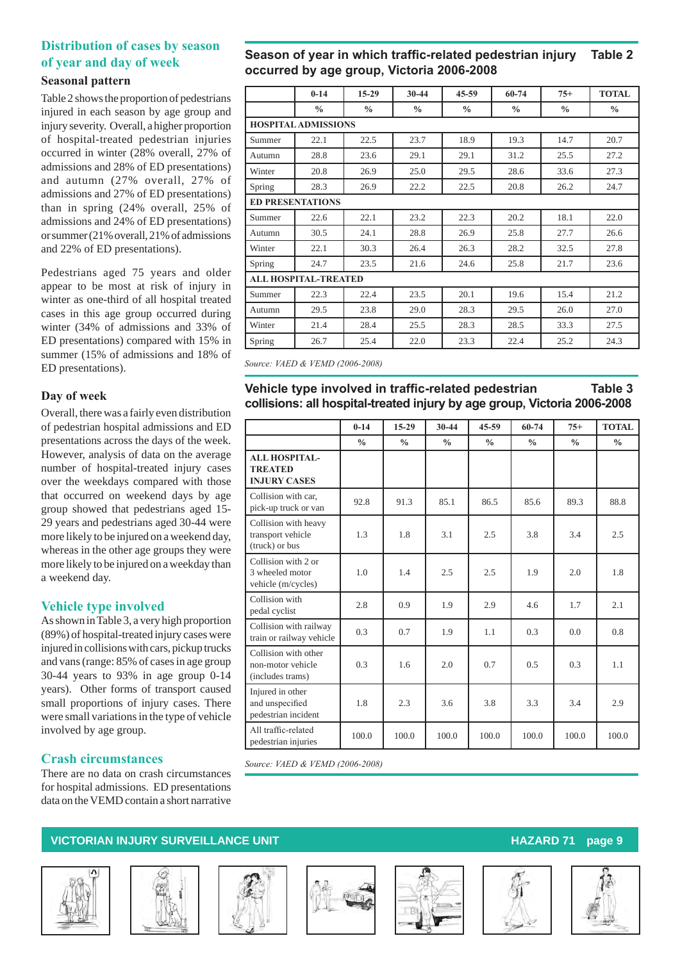### **Distribution of cases by season of year and day of week**

#### **Seasonal pattern**

Table 2 shows the proportion of pedestrians injured in each season by age group and injury severity. Overall, a higher proportion of hospital-treated pedestrian injuries occurred in winter (28% overall, 27% of admissions and 28% of ED presentations) and autumn (27% overall, 27% of admissions and 27% of ED presentations) than in spring (24% overall, 25% of admissions and 24% of ED presentations) or summer (21% overall, 21% of admissions and 22% of ED presentations).

Pedestrians aged 75 years and older appear to be most at risk of injury in winter as one-third of all hospital treated cases in this age group occurred during winter (34% of admissions and 33% of ED presentations) compared with 15% in summer (15% of admissions and 18% of ED presentations).

#### **Day of week**

Overall, there was a fairly even distribution of pedestrian hospital admissions and ED presentations across the days of the week. However, analysis of data on the average number of hospital-treated injury cases over the weekdays compared with those that occurred on weekend days by age group showed that pedestrians aged 15- 29 years and pedestrians aged 30-44 were more likely to be injured on a weekend day, whereas in the other age groups they were more likely to be injured on a weekday than a weekend day.

#### **Vehicle type involved**

As shown in Table 3, a very high proportion (89%) of hospital-treated injury cases were injured in collisions with cars, pickup trucks and vans (range: 85% of cases in age group 30-44 years to 93% in age group 0-14 years). Other forms of transport caused small proportions of injury cases. There were small variations in the type of vehicle involved by age group.

### **Crash circumstances**

There are no data on crash circumstances for hospital admissions. ED presentations data on the VEMD contain a short narrative

### **Season of year in which traffic-related pedestrian injury Table 2 occurred by age group, Victoria 2006-2008**

|        | $0 - 14$                    | $15-29$       | $30 - 44$     | $45 - 59$     | 60-74         | $75+$         | <b>TOTAL</b>  |
|--------|-----------------------------|---------------|---------------|---------------|---------------|---------------|---------------|
|        | $\frac{0}{0}$               | $\frac{0}{0}$ | $\frac{0}{0}$ | $\frac{0}{0}$ | $\frac{0}{0}$ | $\frac{0}{0}$ | $\frac{0}{0}$ |
|        | <b>HOSPITAL ADMISSIONS</b>  |               |               |               |               |               |               |
| Summer | 22.1                        | 22.5          | 23.7          | 18.9          | 19.3          | 14.7          | 20.7          |
| Autumn | 28.8                        | 23.6          | 29.1          | 29.1          | 31.2          | 25.5          | 27.2          |
| Winter | 20.8                        | 26.9          | 25.0          | 29.5          | 28.6          | 33.6          | 27.3          |
| Spring | 28.3                        | 26.9          | 22.2          | 22.5          | 20.8          | 26.2          | 24.7          |
|        | <b>ED PRESENTATIONS</b>     |               |               |               |               |               |               |
| Summer | 22.6                        | 22.1          | 23.2          | 22.3          | 20.2          | 18.1          | 22.0          |
| Autumn | 30.5                        | 24.1          | 28.8          | 26.9          | 25.8          | 27.7          | 26.6          |
| Winter | 22.1                        | 30.3          | 26.4          | 26.3          | 28.2          | 32.5          | 27.8          |
| Spring | 24.7                        | 23.5          | 21.6          | 24.6          | 25.8          | 21.7          | 23.6          |
|        | <b>ALL HOSPITAL-TREATED</b> |               |               |               |               |               |               |
| Summer | 22.3                        | 22.4          | 23.5          | 20.1          | 19.6          | 15.4          | 21.2          |
| Autumn | 29.5                        | 23.8          | 29.0          | 28.3          | 29.5          | 26.0          | 27.0          |
| Winter | 21.4                        | 28.4          | 25.5          | 28.3          | 28.5          | 33.3          | 27.5          |
| Spring | 26.7                        | 25.4          | 22.0          | 23.3          | 22.4          | 25.2          | 24.3          |

*Source: VAED & VEMD (2006-2008)*

### **Vehicle type involved in traffic-related pedestrian Table 3 collisions: all hospital-treated injury by age group, Victoria 2006-2008**

|                                                               | $0 - 14$       | $15-29$       | 30-44         | $45 - 59$     | 60-74         | $75+$         | <b>TOTAL</b>  |
|---------------------------------------------------------------|----------------|---------------|---------------|---------------|---------------|---------------|---------------|
|                                                               | $\frac{0}{0}$  | $\frac{0}{0}$ | $\frac{0}{0}$ | $\frac{0}{0}$ | $\frac{0}{0}$ | $\frac{0}{0}$ | $\frac{0}{0}$ |
| <b>ALL HOSPITAL-</b><br><b>TREATED</b><br><b>INJURY CASES</b> |                |               |               |               |               |               |               |
| Collision with car,<br>pick-up truck or van                   | 92.8           | 91.3          | 85.1          | 86.5          | 85.6          | 89.3          | 88.8          |
| Collision with heavy<br>transport vehicle<br>(truck) or bus   | 1.3            | 1.8           | 3.1           | 2.5           | 3.8           | 3.4           | 2.5           |
| Collision with 2 or<br>3 wheeled motor<br>vehicle (m/cycles)  | 1 <sub>0</sub> | 14            | 2.5           | 2.5           | 1.9           | 2.0           | 1.8           |
| Collision with<br>pedal cyclist                               | 2.8            | 0.9           | 1.9           | 2.9           | 4.6           | 1.7           | 2.1           |
| Collision with railway<br>train or railway vehicle            | 0.3            | 0.7           | 1.9           | 1.1           | 0.3           | 0.0           | 0.8           |
| Collision with other<br>non-motor vehicle<br>(includes trams) | 0.3            | 1.6           | 2.0           | 0.7           | 0.5           | 0.3           | 1.1           |
| Injured in other<br>and unspecified<br>pedestrian incident    | 1.8            | 2.3           | 3.6           | 3.8           | 3.3           | 3.4           | 2.9           |
| All traffic-related<br>pedestrian injuries                    | 100.0          | 100.0         | 100.0         | 100.0         | 100.0         | 100.0         | 100.0         |

*Source: VAED & VEMD (2006-2008)*











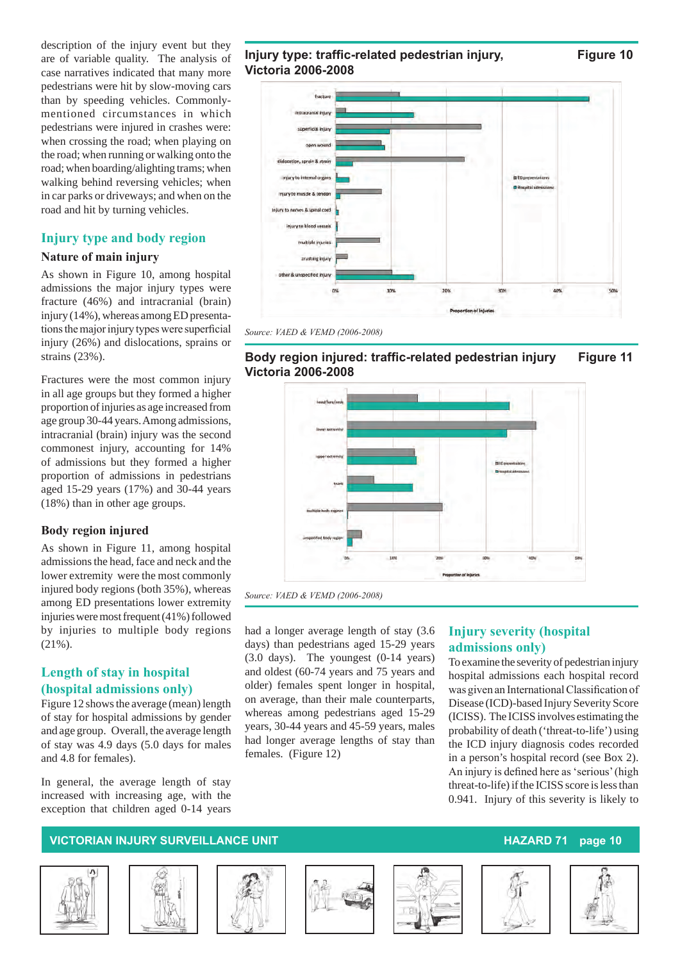description of the injury event but they are of variable quality. The analysis of case narratives indicated that many more pedestrians were hit by slow-moving cars than by speeding vehicles. Commonlymentioned circumstances in which pedestrians were injured in crashes were: when crossing the road; when playing on the road; when running or walking onto the road; when boarding/alighting trams; when walking behind reversing vehicles; when in car parks or driveways; and when on the road and hit by turning vehicles.

### **Injury type and body region**

#### **Nature of main injury**

As shown in Figure 10, among hospital admissions the major injury types were fracture (46%) and intracranial (brain) injury (14%), whereas among ED presentationsthemajorinjury typeswere superficial injury (26%) and dislocations, sprains or strains (23%).

Fractures were the most common injury in all age groups but they formed a higher proportion of injuries as age increased from age group 30-44 years. Among admissions, intracranial (brain) injury was the second commonest injury, accounting for 14% of admissions but they formed a higher proportion of admissions in pedestrians aged 15-29 years (17%) and 30-44 years (18%) than in other age groups.

#### **Body region injured**

As shown in Figure 11, among hospital admissions the head, face and neck and the lower extremity were the most commonly injured body regions (both 35%), whereas among ED presentations lower extremity injuries were most frequent (41%) followed by injuries to multiple body regions (21%).

### **Length of stay in hospital (hospital admissions only)**

Figure 12 shows the average (mean) length of stay for hospital admissions by gender and age group. Overall, the average length of stay was 4.9 days (5.0 days for males and 4.8 for females).

In general, the average length of stay increased with increasing age, with the exception that children aged 0-14 years

#### **Injury type: traffic-related pedestrian injury, Figure 10 Victoria 2006-2008**

fracture superficial injury open wound dislocation, sprain & strain injury to internal organs in Eta pe injury to muscle & tendon injury to nerves & spinal cord injury to blood vessels multiple injuries. crushing injury other & uncorecting injury 20%  $300$ 

*Source: VAED & VEMD (2006-2008)*

# **Body region injured: traffic-related pedestrian injury Figure 11 Victoria 2006-2008**



*Source: VAED & VEMD (2006-2008)*

had a longer average length of stay (3.6 days) than pedestrians aged 15-29 years (3.0 days). The youngest (0-14 years) and oldest (60-74 years and 75 years and older) females spent longer in hospital, on average, than their male counterparts, whereas among pedestrians aged 15-29 years, 30-44 years and 45-59 years, males had longer average lengths of stay than females. (Figure 12)

### **Injury severity (hospital admissions only)**

To examine the severity of pedestrian injury hospital admissions each hospital record was given an InternationalClassification of Disease (ICD)-based Injury Severity Score (ICISS). The ICISS involves estimating the probability of death ('threat-to-life') using the ICD injury diagnosis codes recorded in a person's hospital record (see Box 2). An injury is defined here as'serious'(high threat-to-life) if the ICISS score is less than 0.941. Injury of this severity is likely to











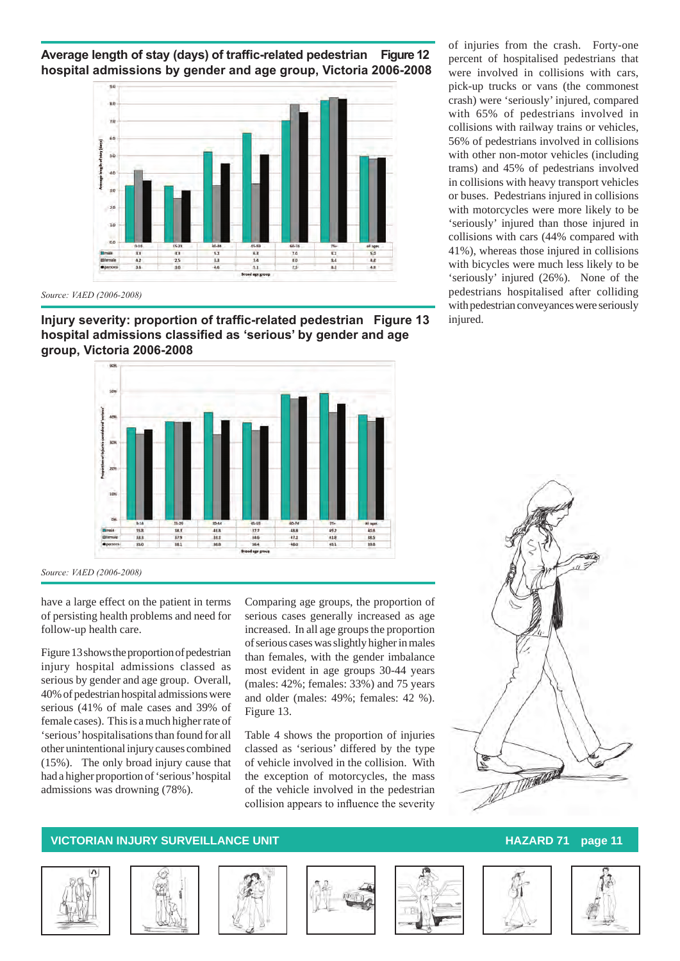**Average length of stay (days) of traffic-related pedestrian Figure 12 hospital admissions by gender and age group, Victoria 2006-2008**



*Source: VAED (2006-2008)*

**Injury severity: proportion of traffic-related pedestrian Figure 13 hospital admissions classified as 'serious' by gender and age group, Victoria 2006-2008**



*Source: VAED (2006-2008)*

have a large effect on the patient in terms of persisting health problems and need for follow-up health care.

Figure 13 shows the proportion of pedestrian injury hospital admissions classed as serious by gender and age group. Overall, 40% of pedestrian hospital admissions were serious (41% of male cases and 39% of female cases). This is a much higher rate of 'serious' hospitalisations than found for all other unintentional injury causes combined (15%). The only broad injury cause that had a higher proportion of 'serious' hospital admissions was drowning (78%).

Comparing age groups, the proportion of serious cases generally increased as age increased. In all age groups the proportion of serious cases was slightly higher in males than females, with the gender imbalance most evident in age groups 30-44 years (males: 42%; females: 33%) and 75 years and older (males: 49%; females: 42 %). Figure 13.

Table 4 shows the proportion of injuries classed as 'serious' differed by the type of vehicle involved in the collision. With the exception of motorcycles, the mass of the vehicle involved in the pedestrian collision appears to influence the severity















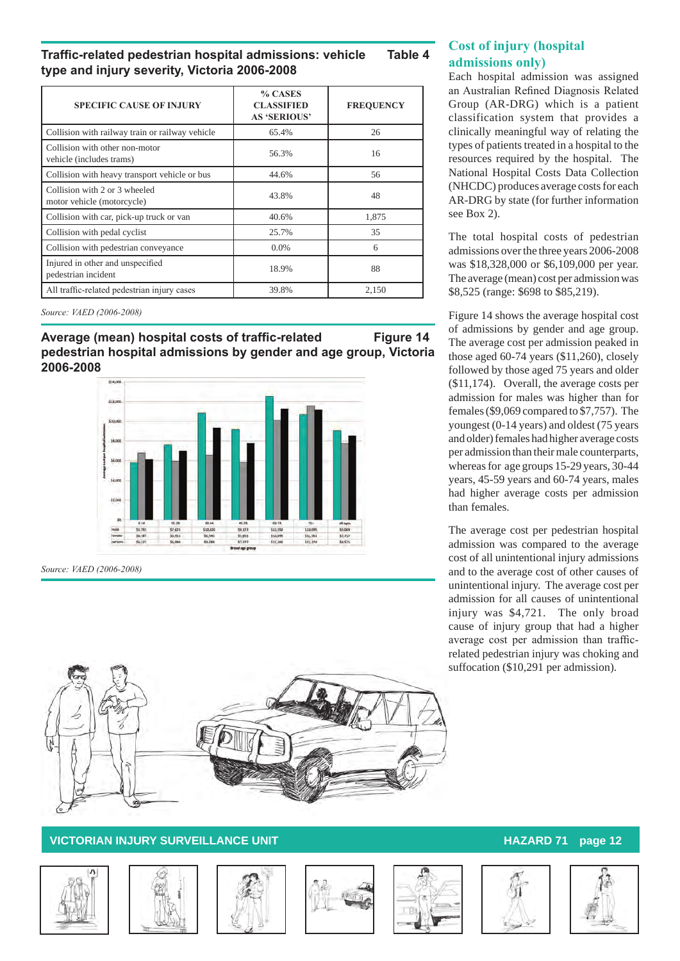**Traffic-related pedestrian hospital admissions: vehicle Table 4 type and injury severity, Victoria 2006-2008**

| <b>SPECIFIC CAUSE OF INJURY</b>                             | % CASES<br><b>CLASSIFIED</b><br><b>AS 'SERIOUS'</b> | <b>FREQUENCY</b> |
|-------------------------------------------------------------|-----------------------------------------------------|------------------|
| Collision with railway train or railway vehicle             | 65.4%                                               | 26               |
| Collision with other non-motor<br>vehicle (includes trams)  | 56.3%                                               | 16               |
| Collision with heavy transport vehicle or bus               | 44.6%                                               | 56               |
| Collision with 2 or 3 wheeled<br>motor vehicle (motorcycle) | 43.8%                                               | 48               |
| Collision with car, pick-up truck or van                    | 40.6%                                               | 1.875            |
| Collision with pedal cyclist                                | 25.7%                                               | 35               |
| Collision with pedestrian conveyance                        | $0.0\%$                                             | 6                |
| Injured in other and unspecified<br>pedestrian incident     | 18.9%                                               | 88               |
| All traffic-related pedestrian injury cases                 | 39.8%                                               | 2.150            |

*Source: VAED (2006-2008)*

Average (mean) hospital costs of traffic-related Figure 14 **pedestrian hospital admissions by gender and age group, Victoria 2006-2008**



*Source: VAED (2006-2008)*



### **Cost of injury (hospital admissions only)**

Each hospital admission was assigned an Australian Refined Diagnosis Related Group (AR-DRG) which is a patient classification system that provides a clinically meaningful way of relating the types of patients treated in a hospital to the resources required by the hospital. The National Hospital Costs Data Collection (NHCDC) produces average costs for each AR-DRG by state (for further information see Box 2).

The total hospital costs of pedestrian admissions over the three years 2006-2008 was \$18,328,000 or \$6,109,000 per year. The average (mean) cost per admission was \$8,525 (range: \$698 to \$85,219).

Figure 14 shows the average hospital cost of admissions by gender and age group. The average cost per admission peaked in those aged 60-74 years (\$11,260), closely followed by those aged 75 years and older (\$11,174). Overall, the average costs per admission for males was higher than for females (\$9,069 compared to \$7,757). The youngest (0-14 years) and oldest (75 years and older) females had higher average costs per admission than their male counterparts, whereas for age groups 15-29 years, 30-44 years, 45-59 years and 60-74 years, males had higher average costs per admission than females.

The average cost per pedestrian hospital admission was compared to the average cost of all unintentional injury admissions and to the average cost of other causes of unintentional injury. The average cost per admission for all causes of unintentional injury was \$4,721. The only broad cause of injury group that had a higher average cost per admission than trafficrelated pedestrian injury was choking and suffocation (\$10,291 per admission).











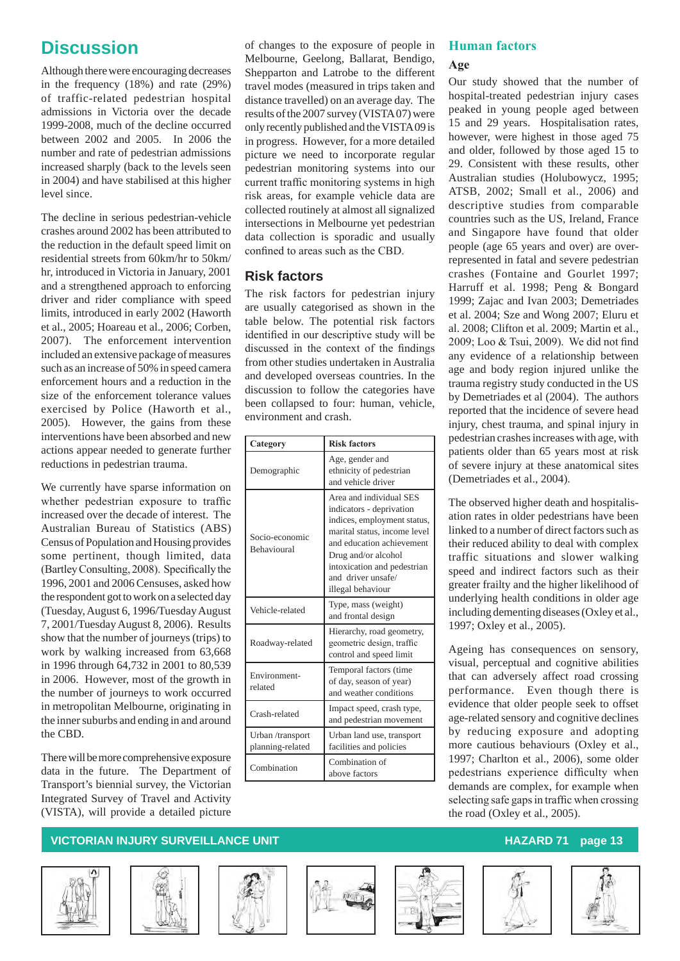# **Discussion**

Although there were encouraging decreases in the frequency (18%) and rate (29%) of traffic-related pedestrian hospital admissions in Victoria over the decade 1999-2008, much of the decline occurred between 2002 and 2005. In 2006 the number and rate of pedestrian admissions increased sharply (back to the levels seen in 2004) and have stabilised at this higher level since.

The decline in serious pedestrian-vehicle crashes around 2002 has been attributed to the reduction in the default speed limit on residential streets from 60km/hr to 50km/ hr, introduced in Victoria in January, 2001 and a strengthened approach to enforcing driver and rider compliance with speed limits, introduced in early 2002 (Haworth et al., 2005; Hoareau et al., 2006; Corben, 2007). The enforcement intervention included an extensive package of measures such as an increase of 50% in speed camera enforcement hours and a reduction in the size of the enforcement tolerance values exercised by Police (Haworth et al., 2005). However, the gains from these interventions have been absorbed and new actions appear needed to generate further reductions in pedestrian trauma.

We currently have sparse information on whether pedestrian exposure to traffic increased over the decade of interest. The Australian Bureau of Statistics (ABS) Census of Population and Housing provides some pertinent, though limited, data (BartleyConsulting, 2008). Specifically the 1996, 2001 and 2006 Censuses, asked how the respondent got to work on a selected day (Tuesday, August 6, 1996/Tuesday August 7, 2001/Tuesday August 8, 2006). Results show that the number of journeys (trips) to work by walking increased from 63,668 in 1996 through 64,732 in 2001 to 80,539 in 2006. However, most of the growth in the number of journeys to work occurred in metropolitan Melbourne, originating in the inner suburbs and ending in and around the CBD.

There will be more comprehensive exposure data in the future. The Department of Transport's biennial survey, the Victorian Integrated Survey of Travel and Activity (VISTA), will provide a detailed picture

of changes to the exposure of people in Melbourne, Geelong, Ballarat, Bendigo, Shepparton and Latrobe to the different travel modes (measured in trips taken and distance travelled) on an average day. The results of the 2007 survey (VISTA 07) were only recently published and the VISTA 09 is in progress. However, for a more detailed picture we need to incorporate regular pedestrian monitoring systems into our current traffic monitoring systems in high risk areas, for example vehicle data are collected routinely at almost all signalized intersections in Melbourne yet pedestrian data collection is sporadic and usually confined to areas such as the CBD.

### **Risk factors**

The risk factors for pedestrian injury are usually categorised as shown in the table below. The potential risk factors identified in our descriptive study will be discussed in the context of the findings from other studies undertaken in Australia and developed overseas countries. In the discussion to follow the categories have been collapsed to four: human, vehicle, environment and crash.

| Category                             | <b>Risk factors</b>                                                                                                                                                                                                                              |  |  |
|--------------------------------------|--------------------------------------------------------------------------------------------------------------------------------------------------------------------------------------------------------------------------------------------------|--|--|
| Demographic                          | Age, gender and<br>ethnicity of pedestrian<br>and vehicle driver                                                                                                                                                                                 |  |  |
| Socio-economic<br><b>Behavioural</b> | Area and individual SES<br>indicators - deprivation<br>indices, employment status,<br>marital status, income level<br>and education achievement<br>Drug and/or alcohol<br>intoxication and pedestrian<br>and driver unsafe/<br>illegal behaviour |  |  |
| Vehicle-related                      | Type, mass (weight)<br>and frontal design                                                                                                                                                                                                        |  |  |
| Roadway-related                      | Hierarchy, road geometry,<br>geometric design, traffic<br>control and speed limit                                                                                                                                                                |  |  |
| Environment-<br>related              | Temporal factors (time<br>of day, season of year)<br>and weather conditions                                                                                                                                                                      |  |  |
| Crash-related                        | Impact speed, crash type,<br>and pedestrian movement                                                                                                                                                                                             |  |  |
| Urban /transport<br>planning-related | Urban land use, transport<br>facilities and policies                                                                                                                                                                                             |  |  |
| Combination                          | Combination of<br>above factors                                                                                                                                                                                                                  |  |  |

# **Human factors**

### **Age**

Our study showed that the number of hospital-treated pedestrian injury cases peaked in young people aged between 15 and 29 years. Hospitalisation rates, however, were highest in those aged 75 and older, followed by those aged 15 to 29. Consistent with these results, other Australian studies (Holubowycz, 1995; ATSB, 2002; Small et al., 2006) and descriptive studies from comparable countries such as the US, Ireland, France and Singapore have found that older people (age 65 years and over) are overrepresented in fatal and severe pedestrian crashes (Fontaine and Gourlet 1997; Harruff et al. 1998; Peng & Bongard 1999; Zajac and Ivan 2003; Demetriades et al. 2004; Sze and Wong 2007; Eluru et al. 2008; Clifton et al. 2009; Martin et al., 2009; Loo & Tsui, 2009). We did not find any evidence of a relationship between age and body region injured unlike the trauma registry study conducted in the US by Demetriades et al (2004). The authors reported that the incidence of severe head injury, chest trauma, and spinal injury in pedestrian crashes increases with age, with patients older than 65 years most at risk of severe injury at these anatomical sites (Demetriades et al., 2004).

The observed higher death and hospitalisation rates in older pedestrians have been linked to a number of direct factors such as their reduced ability to deal with complex traffic situations and slower walking speed and indirect factors such as their greater frailty and the higher likelihood of underlying health conditions in older age including dementing diseases (Oxley et al., 1997; Oxley et al., 2005).

Ageing has consequences on sensory, visual, perceptual and cognitive abilities that can adversely affect road crossing performance. Even though there is evidence that older people seek to offset age-related sensory and cognitive declines by reducing exposure and adopting more cautious behaviours (Oxley et al., 1997; Charlton et al., 2006), some older pedestrians experience difficulty when demands are complex, for example when selecting safe gaps in traffic when crossing the road (Oxley et al., 2005).













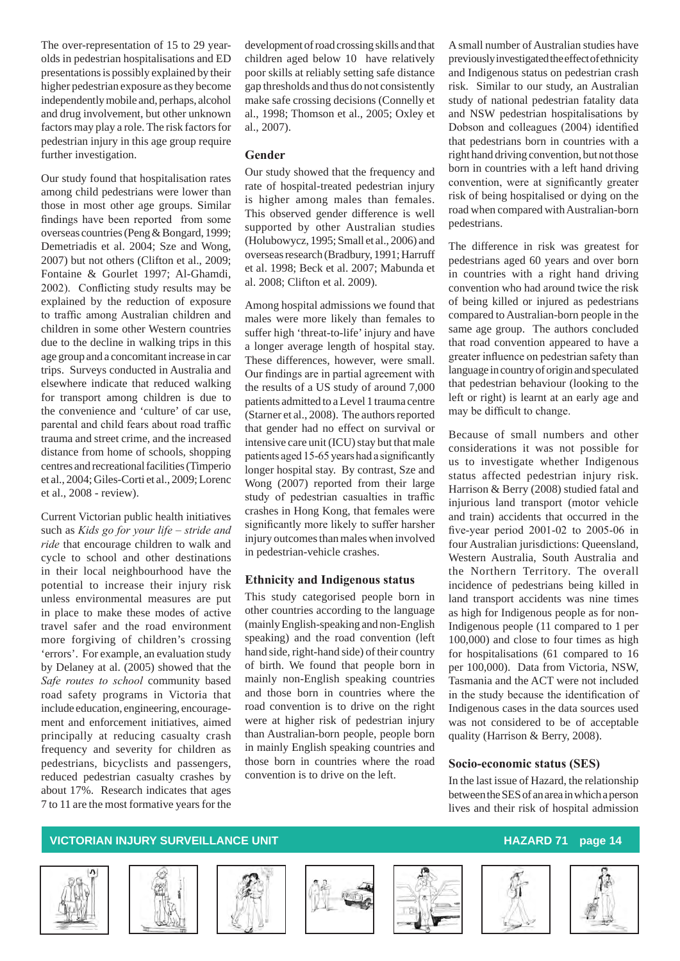The over-representation of 15 to 29 yearolds in pedestrian hospitalisations and ED presentations is possibly explained by their higher pedestrian exposure as they become independently mobile and, perhaps, alcohol and drug involvement, but other unknown factors may play a role. The risk factors for pedestrian injury in this age group require further investigation.

Our study found that hospitalisation rates among child pedestrians were lower than those in most other age groups. Similar findings have been reported from some overseas countries (Peng & Bongard, 1999; Demetriadis et al. 2004; Sze and Wong, 2007) but not others (Clifton et al., 2009; Fontaine & Gourlet 1997; Al-Ghamdi, 2002). Conflicting study results may be explained by the reduction of exposure to traffic among Australian children and children in some other Western countries due to the decline in walking trips in this age group and a concomitant increase in car trips. Surveys conducted in Australia and elsewhere indicate that reduced walking for transport among children is due to the convenience and 'culture' of car use, parental and child fears about road traffic trauma and street crime, and the increased distance from home of schools, shopping centres and recreational facilities (Timperio et al., 2004; Giles-Corti et al., 2009; Lorenc et al., 2008 - review).

Current Victorian public health initiatives such as *Kids go for your life – stride and ride* that encourage children to walk and cycle to school and other destinations in their local neighbourhood have the potential to increase their injury risk unless environmental measures are put in place to make these modes of active travel safer and the road environment more forgiving of children's crossing 'errors'. For example, an evaluation study by Delaney at al. (2005) showed that the *Safe routes to school* community based road safety programs in Victoria that include education, engineering, encouragement and enforcement initiatives, aimed principally at reducing casualty crash frequency and severity for children as pedestrians, bicyclists and passengers, reduced pedestrian casualty crashes by about 17%. Research indicates that ages 7 to 11 are the most formative years for the

development of road crossing skills and that children aged below 10 have relatively poor skills at reliably setting safe distance gap thresholds and thus do not consistently make safe crossing decisions (Connelly et al., 1998; Thomson et al., 2005; Oxley et al., 2007).

#### **Gender**

Our study showed that the frequency and rate of hospital-treated pedestrian injury is higher among males than females. This observed gender difference is well supported by other Australian studies (Holubowycz, 1995; Small et al., 2006) and overseas research (Bradbury, 1991; Harruff et al. 1998; Beck et al. 2007; Mabunda et al. 2008; Clifton et al. 2009).

Among hospital admissions we found that males were more likely than females to suffer high 'threat-to-life' injury and have a longer average length of hospital stay. These differences, however, were small. Our findings are in partial agreement with the results of a US study of around 7,000 patients admitted to a Level 1 trauma centre (Starner et al., 2008). The authors reported that gender had no effect on survival or intensive care unit (ICU) stay but that male patients aged 15-65years had a significantly longer hospital stay. By contrast, Sze and Wong (2007) reported from their large study of pedestrian casualties in traffic crashes in Hong Kong, that females were significantly more likely to suffer harsher injury outcomes than males when involved in pedestrian-vehicle crashes.

#### **Ethnicity and Indigenous status**

This study categorised people born in other countries according to the language (mainly English-speaking and non-English speaking) and the road convention (left hand side, right-hand side) of their country of birth. We found that people born in mainly non-English speaking countries and those born in countries where the road convention is to drive on the right were at higher risk of pedestrian injury than Australian-born people, people born in mainly English speaking countries and those born in countries where the road convention is to drive on the left.

A small number of Australian studies have previously investigated the effect of ethnicity and Indigenous status on pedestrian crash risk. Similar to our study, an Australian study of national pedestrian fatality data and NSW pedestrian hospitalisations by Dobson and colleagues (2004) identified that pedestrians born in countries with a right hand driving convention, but not those born in countries with a left hand driving convention, were at significantly greater risk of being hospitalised or dying on the road when compared with Australian-born pedestrians.

The difference in risk was greatest for pedestrians aged 60 years and over born in countries with a right hand driving convention who had around twice the risk of being killed or injured as pedestrians compared to Australian-born people in the same age group. The authors concluded that road convention appeared to have a greater influence on pedestrian safety than language in country of origin and speculated that pedestrian behaviour (looking to the left or right) is learnt at an early age and may be difficult to change.

Because of small numbers and other considerations it was not possible for us to investigate whether Indigenous status affected pedestrian injury risk. Harrison & Berry (2008) studied fatal and injurious land transport (motor vehicle and train) accidents that occurred in the five-year period 2001-02 to 2005-06 in four Australian jurisdictions: Queensland, Western Australia, South Australia and the Northern Territory. The overall incidence of pedestrians being killed in land transport accidents was nine times as high for Indigenous people as for non-Indigenous people (11 compared to 1 per 100,000) and close to four times as high for hospitalisations (61 compared to 16 per 100,000). Data from Victoria, NSW, Tasmania and the ACT were not included in the study because the identification of Indigenous cases in the data sources used was not considered to be of acceptable quality (Harrison & Berry, 2008).

#### **Socio-economic status (SES)**

In the last issue of Hazard, the relationship between the SES of an area in which a person lives and their risk of hospital admission











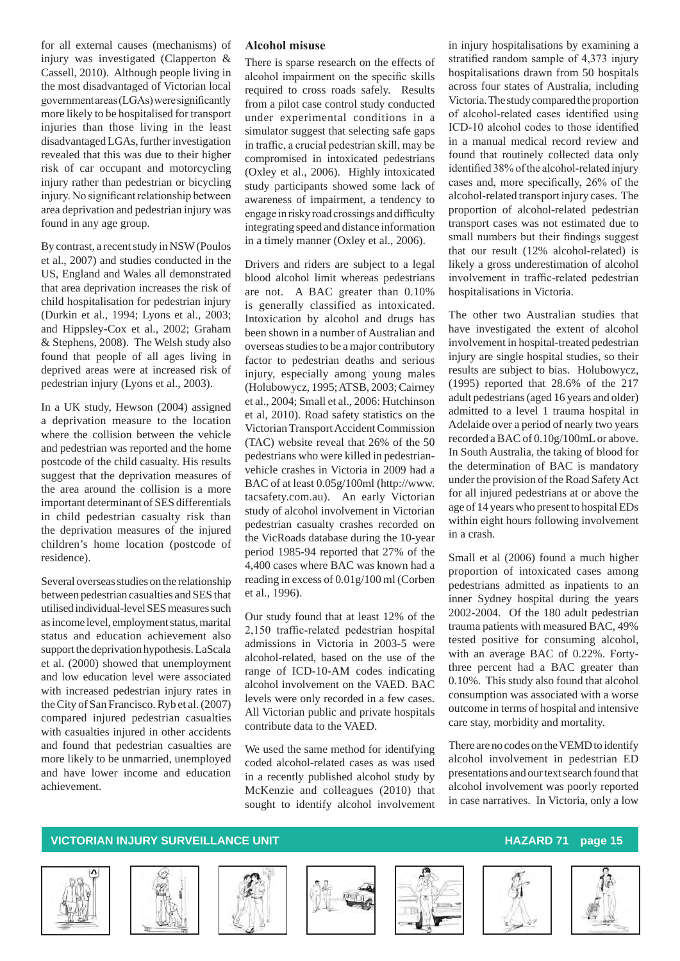for all external causes (mechanisms) of injury was investigated (Clapperton & Cassell, 2010). Although people living in the most disadvantaged of Victorian local governmentareas(LGAs)weresignificantly more likely to be hospitalised for transport injuries than those living in the least disadvantaged LGAs, further investigation revealed that this was due to their higher risk of car occupant and motorcycling injury rather than pedestrian or bicycling injury. No significant relationship between area deprivation and pedestrian injury was found in any age group.

By contrast, a recent study in NSW (Poulos et al., 2007) and studies conducted in the US, England and Wales all demonstrated that area deprivation increases the risk of child hospitalisation for pedestrian injury (Durkin et al., 1994; Lyons et al., 2003; and Hippsley-Cox et al., 2002; Graham & Stephens, 2008). The Welsh study also found that people of all ages living in deprived areas were at increased risk of pedestrian injury (Lyons et al., 2003).

In a UK study, Hewson (2004) assigned a deprivation measure to the location where the collision between the vehicle and pedestrian was reported and the home postcode of the child casualty. His results suggest that the deprivation measures of the area around the collision is a more important determinant of SES differentials in child pedestrian casualty risk than the deprivation measures of the injured children's home location (postcode of residence).

Several overseas studies on the relationship between pedestrian casualties and SES that utilised individual-level SES measures such as income level, employment status, marital status and education achievement also support the deprivation hypothesis. LaScala et al. (2000) showed that unemployment and low education level were associated with increased pedestrian injury rates in the City of San Francisco. Ryb et al. (2007) compared injured pedestrian casualties with casualties injured in other accidents and found that pedestrian casualties are more likely to be unmarried, unemployed and have lower income and education achievement.

#### **Alcohol misuse**

There is sparse research on the effects of alcohol impairment on the specific skills required to cross roads safely. Results from a pilot case control study conducted under experimental conditions in a simulator suggest that selecting safe gaps in traffic, a crucial pedestrian skill, may be compromised in intoxicated pedestrians (Oxley et al., 2006). Highly intoxicated study participants showed some lack of awareness of impairment, a tendency to engage in risky road crossings and difficulty integrating speed and distance information in a timely manner (Oxley et al., 2006).

Drivers and riders are subject to a legal blood alcohol limit whereas pedestrians are not. A BAC greater than 0.10% is generally classified as intoxicated. Intoxication by alcohol and drugs has been shown in a number of Australian and overseas studies to be a major contributory factor to pedestrian deaths and serious injury, especially among young males (Holubowycz, 1995; ATSB, 2003; Cairney et al., 2004; Small et al., 2006: Hutchinson et al, 2010). Road safety statistics on the Victorian Transport Accident Commission (TAC) website reveal that 26% of the 50 pedestrians who were killed in pedestrianvehicle crashes in Victoria in 2009 had a BAC of at least 0.05g/100ml (http://www. tacsafety.com.au). An early Victorian study of alcohol involvement in Victorian pedestrian casualty crashes recorded on the VicRoads database during the 10-year period 1985-94 reported that 27% of the 4,400 cases where BAC was known had a reading in excess of 0.01g/100 ml (Corben et al., 1996).

Our study found that at least 12% of the 2,150 traffic-related pedestrian hospital admissions in Victoria in 2003-5 were alcohol-related, based on the use of the range of ICD-10-AM codes indicating alcohol involvement on the VAED. BAC levels were only recorded in a few cases. All Victorian public and private hospitals contribute data to the VAED.

We used the same method for identifying coded alcohol-related cases as was used in a recently published alcohol study by McKenzie and colleagues (2010) that sought to identify alcohol involvement

in injury hospitalisations by examining a stratified random sample of 4,373 injury hospitalisations drawn from 50 hospitals across four states of Australia, including Victoria. The study compared the proportion of alcohol-related cases identified using ICD-10 alcohol codes to those identified in a manual medical record review and found that routinely collected data only identified 38% of the alcohol-related injury cases and, more specifically, 26% of the alcohol-related transport injury cases. The proportion of alcohol-related pedestrian transport cases was not estimated due to small numbers but their findings suggest that our result (12% alcohol-related) is likely a gross underestimation of alcohol involvement in traffic-related pedestrian hospitalisations in Victoria.

The other two Australian studies that have investigated the extent of alcohol involvement in hospital-treated pedestrian injury are single hospital studies, so their results are subject to bias. Holubowycz, (1995) reported that 28.6% of the 217 adult pedestrians (aged 16 years and older) admitted to a level 1 trauma hospital in Adelaide over a period of nearly two years recorded a BAC of 0.10g/100mL or above. In South Australia, the taking of blood for the determination of BAC is mandatory under the provision of the Road Safety Act for all injured pedestrians at or above the age of 14 years who present to hospital EDs within eight hours following involvement in a crash.

Small et al (2006) found a much higher proportion of intoxicated cases among pedestrians admitted as inpatients to an inner Sydney hospital during the years 2002-2004. Of the 180 adult pedestrian trauma patients with measured BAC, 49% tested positive for consuming alcohol, with an average BAC of 0.22%. Fortythree percent had a BAC greater than 0.10%. This study also found that alcohol consumption was associated with a worse outcome in terms of hospital and intensive care stay, morbidity and mortality.

There are no codes on the VEMD to identify alcohol involvement in pedestrian ED presentations and our text search found that alcohol involvement was poorly reported in case narratives. In Victoria, only a low











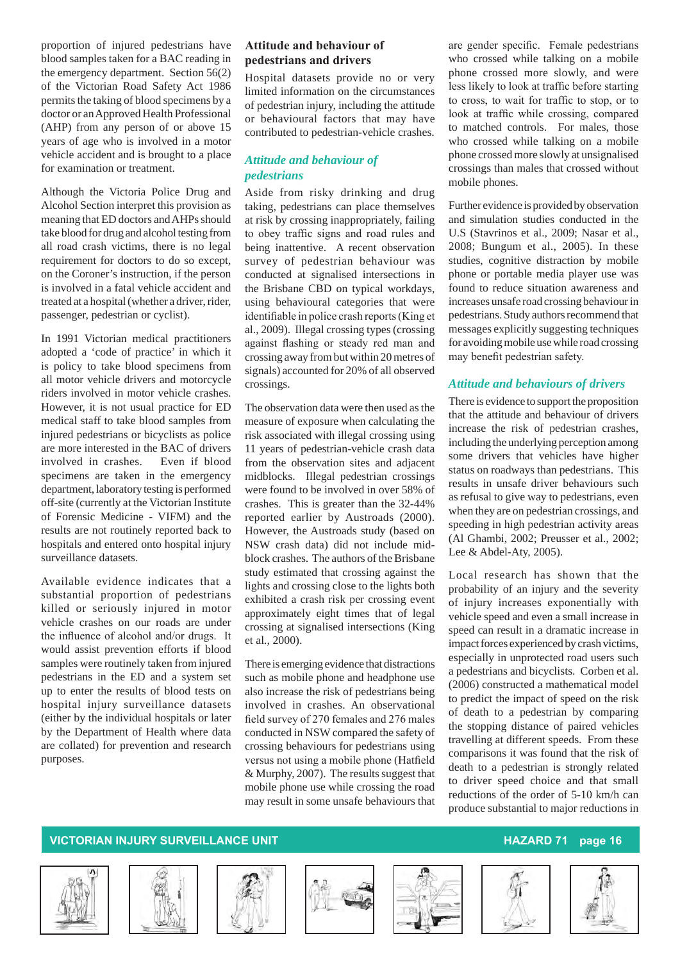proportion of injured pedestrians have blood samples taken for a BAC reading in the emergency department. Section 56(2) of the Victorian Road Safety Act 1986 permits the taking of blood specimens by a doctor or an Approved Health Professional (AHP) from any person of or above 15 years of age who is involved in a motor vehicle accident and is brought to a place for examination or treatment.

Although the Victoria Police Drug and Alcohol Section interpret this provision as meaning that ED doctors and AHPs should take blood for drug and alcohol testing from all road crash victims, there is no legal requirement for doctors to do so except, on the Coroner's instruction, if the person is involved in a fatal vehicle accident and treated at a hospital (whether a driver, rider, passenger, pedestrian or cyclist).

In 1991 Victorian medical practitioners adopted a 'code of practice' in which it is policy to take blood specimens from all motor vehicle drivers and motorcycle riders involved in motor vehicle crashes. However, it is not usual practice for ED medical staff to take blood samples from injured pedestrians or bicyclists as police are more interested in the BAC of drivers involved in crashes. Even if blood specimens are taken in the emergency department, laboratory testing is performed off-site (currently at the Victorian Institute of Forensic Medicine - VIFM) and the results are not routinely reported back to hospitals and entered onto hospital injury surveillance datasets.

Available evidence indicates that a substantial proportion of pedestrians killed or seriously injured in motor vehicle crashes on our roads are under the influence of alcohol and/or drugs. It would assist prevention efforts if blood samples were routinely taken from injured pedestrians in the ED and a system set up to enter the results of blood tests on hospital injury surveillance datasets (either by the individual hospitals or later by the Department of Health where data are collated) for prevention and research purposes.

#### **Attitude and behaviour of pedestrians and drivers**

Hospital datasets provide no or very limited information on the circumstances of pedestrian injury, including the attitude or behavioural factors that may have contributed to pedestrian-vehicle crashes.

#### *Attitude and behaviour of pedestrians*

Aside from risky drinking and drug taking, pedestrians can place themselves at risk by crossing inappropriately, failing to obey traffic signs and road rules and being inattentive. A recent observation survey of pedestrian behaviour was conducted at signalised intersections in the Brisbane CBD on typical workdays, using behavioural categories that were identifiable in police crash reports(King et al., 2009). Illegal crossing types (crossing against flashing or steady red man and crossing away from but within 20 metres of signals) accounted for 20% of all observed crossings.

The observation data were then used as the measure of exposure when calculating the risk associated with illegal crossing using 11 years of pedestrian-vehicle crash data from the observation sites and adjacent midblocks. Illegal pedestrian crossings were found to be involved in over 58% of crashes. This is greater than the 32-44% reported earlier by Austroads (2000). However, the Austroads study (based on NSW crash data) did not include midblock crashes. The authors of the Brisbane study estimated that crossing against the lights and crossing close to the lights both exhibited a crash risk per crossing event approximately eight times that of legal crossing at signalised intersections (King et al., 2000).

There is emerging evidence that distractions such as mobile phone and headphone use also increase the risk of pedestrians being involved in crashes. An observational field survey of 270 females and 276 males conducted in NSW compared the safety of crossing behaviours for pedestrians using versus not using a mobile phone (Hatfield & Murphy, 2007). The results suggest that mobile phone use while crossing the road may result in some unsafe behaviours that

are gender specific. Female pedestrians who crossed while talking on a mobile phone crossed more slowly, and were less likely to look at traffic before starting to cross, to wait for traffic to stop, or to look at traffic while crossing, compared to matched controls. For males, those who crossed while talking on a mobile phone crossed more slowly at unsignalised crossings than males that crossed without mobile phones.

Further evidence is provided by observation and simulation studies conducted in the U.S (Stavrinos et al., 2009; Nasar et al., 2008; Bungum et al., 2005). In these studies, cognitive distraction by mobile phone or portable media player use was found to reduce situation awareness and increases unsafe road crossing behaviour in pedestrians. Study authors recommend that messages explicitly suggesting techniques for avoiding mobile use while road crossing may benefit pedestrian safety.

#### *Attitude and behaviours of drivers*

There is evidence to support the proposition that the attitude and behaviour of drivers increase the risk of pedestrian crashes, including the underlying perception among some drivers that vehicles have higher status on roadways than pedestrians. This results in unsafe driver behaviours such as refusal to give way to pedestrians, even when they are on pedestrian crossings, and speeding in high pedestrian activity areas (Al Ghambi, 2002; Preusser et al., 2002; Lee & Abdel-Aty, 2005).

Local research has shown that the probability of an injury and the severity of injury increases exponentially with vehicle speed and even a small increase in speed can result in a dramatic increase in impact forces experienced by crash victims, especially in unprotected road users such a pedestrians and bicyclists. Corben et al. (2006) constructed a mathematical model to predict the impact of speed on the risk of death to a pedestrian by comparing the stopping distance of paired vehicles travelling at different speeds. From these comparisons it was found that the risk of death to a pedestrian is strongly related to driver speed choice and that small reductions of the order of 5-10 km/h can produce substantial to major reductions in













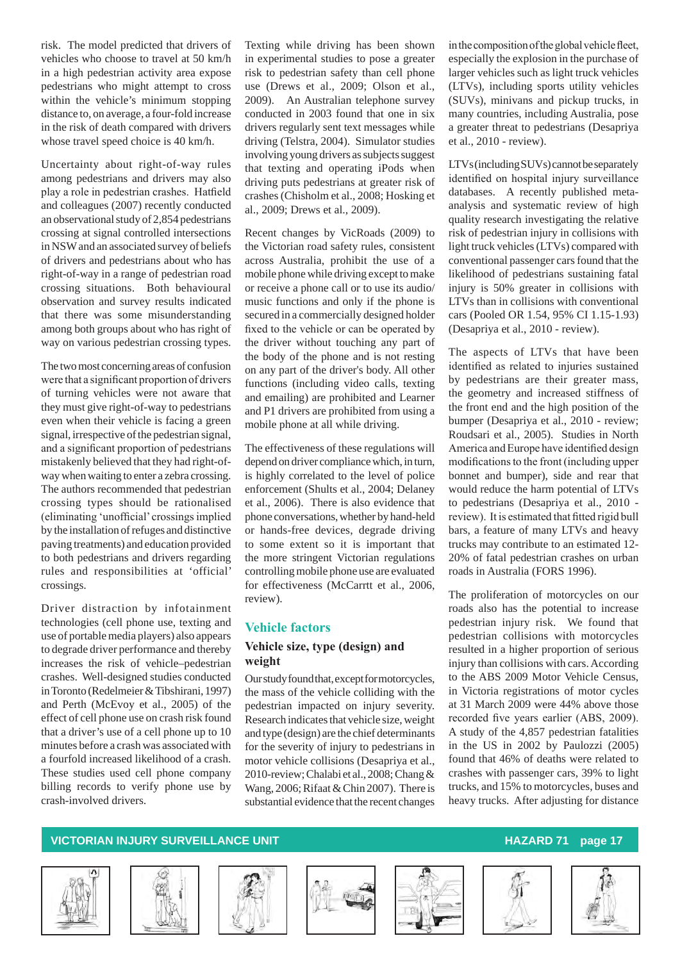risk. The model predicted that drivers of vehicles who choose to travel at 50 km/h in a high pedestrian activity area expose pedestrians who might attempt to cross within the vehicle's minimum stopping distance to, on average, a four-fold increase in the risk of death compared with drivers whose travel speed choice is 40 km/h.

Uncertainty about right-of-way rules among pedestrians and drivers may also play a role in pedestrian crashes. Hatfield and colleagues (2007) recently conducted an observational study of 2,854 pedestrians crossing at signal controlled intersections in NSW and an associated survey of beliefs of drivers and pedestrians about who has right-of-way in a range of pedestrian road crossing situations. Both behavioural observation and survey results indicated that there was some misunderstanding among both groups about who has right of way on various pedestrian crossing types.

The two most concerning areas of confusion were that a significant proportion of drivers of turning vehicles were not aware that they must give right-of-way to pedestrians even when their vehicle is facing a green signal, irrespective of the pedestrian signal, and a significant proportion of pedestrians mistakenly believed that they had right-ofway when waiting to enter a zebra crossing. The authors recommended that pedestrian crossing types should be rationalised (eliminating 'unofficial'crossingsimplied by the installation of refuges and distinctive paving treatments) and education provided to both pedestrians and drivers regarding rules and responsibilities at 'official' crossings.

Driver distraction by infotainment technologies (cell phone use, texting and use of portable media players) also appears to degrade driver performance and thereby increases the risk of vehicle–pedestrian crashes. Well-designed studies conducted in Toronto (Redelmeier & Tibshirani, 1997) and Perth (McEvoy et al., 2005) of the effect of cell phone use on crash risk found that a driver's use of a cell phone up to 10 minutes before a crash was associated with a fourfold increased likelihood of a crash. These studies used cell phone company billing records to verify phone use by crash-involved drivers.

Texting while driving has been shown in experimental studies to pose a greater risk to pedestrian safety than cell phone use (Drews et al., 2009; Olson et al., 2009). An Australian telephone survey conducted in 2003 found that one in six drivers regularly sent text messages while driving (Telstra, 2004). Simulator studies involving young drivers as subjects suggest that texting and operating iPods when driving puts pedestrians at greater risk of crashes (Chisholm et al., 2008; Hosking et al., 2009; Drews et al., 2009).

Recent changes by VicRoads (2009) to the Victorian road safety rules, consistent across Australia, prohibit the use of a mobile phone while driving except to make or receive a phone call or to use its audio/ music functions and only if the phone is secured in a commercially designed holder fixed to the vehicle or can be operated by the driver without touching any part of the body of the phone and is not resting on any part of the driver's body. All other functions (including video calls, texting and emailing) are prohibited and Learner and P1 drivers are prohibited from using a mobile phone at all while driving.

The effectiveness of these regulations will depend on driver compliance which, in turn, is highly correlated to the level of police enforcement (Shults et al., 2004; Delaney et al., 2006). There is also evidence that phone conversations, whether by hand-held or hands-free devices, degrade driving to some extent so it is important that the more stringent Victorian regulations controlling mobile phone use are evaluated for effectiveness (McCarrtt et al., 2006, review).

### **Vehicle factors Vehicle size, type (design) and weight**

Our study found that, except for motorcycles, the mass of the vehicle colliding with the pedestrian impacted on injury severity. Research indicates that vehicle size, weight and type (design) are the chief determinants for the severity of injury to pedestrians in motor vehicle collisions (Desapriya et al., 2010-review; Chalabi et al., 2008; Chang & Wang, 2006; Rifaat & Chin 2007). There is substantial evidence that the recent changes

in the composition of the global vehicle fleet. especially the explosion in the purchase of larger vehicles such as light truck vehicles (LTVs), including sports utility vehicles (SUVs), minivans and pickup trucks, in many countries, including Australia, pose a greater threat to pedestrians (Desapriya et al., 2010 - review).

LTVs (including SUVs) cannot be separately identified on hospital injury surveillance databases. A recently published metaanalysis and systematic review of high quality research investigating the relative risk of pedestrian injury in collisions with light truck vehicles (LTVs) compared with conventional passenger cars found that the likelihood of pedestrians sustaining fatal injury is 50% greater in collisions with LTVs than in collisions with conventional cars (Pooled OR 1.54, 95% CI 1.15-1.93) (Desapriya et al., 2010 - review).

The aspects of LTVs that have been identified as related to injuries sustained by pedestrians are their greater mass, the geometry and increased stiffness of the front end and the high position of the bumper (Desapriya et al., 2010 - review; Roudsari et al., 2005). Studies in North America and Europe have identified design modifications to the front (including upper bonnet and bumper), side and rear that would reduce the harm potential of LTVs to pedestrians (Desapriya et al., 2010 review). It is estimated that fitted rigid bull bars, a feature of many LTVs and heavy trucks may contribute to an estimated 12- 20% of fatal pedestrian crashes on urban roads in Australia (FORS 1996).

The proliferation of motorcycles on our roads also has the potential to increase pedestrian injury risk. We found that pedestrian collisions with motorcycles resulted in a higher proportion of serious injury than collisions with cars. According to the ABS 2009 Motor Vehicle Census, in Victoria registrations of motor cycles at 31 March 2009 were 44% above those recorded five years earlier (ABS, 2009). A study of the 4,857 pedestrian fatalities in the US in 2002 by Paulozzi (2005) found that 46% of deaths were related to crashes with passenger cars, 39% to light trucks, and 15% to motorcycles, buses and heavy trucks. After adjusting for distance











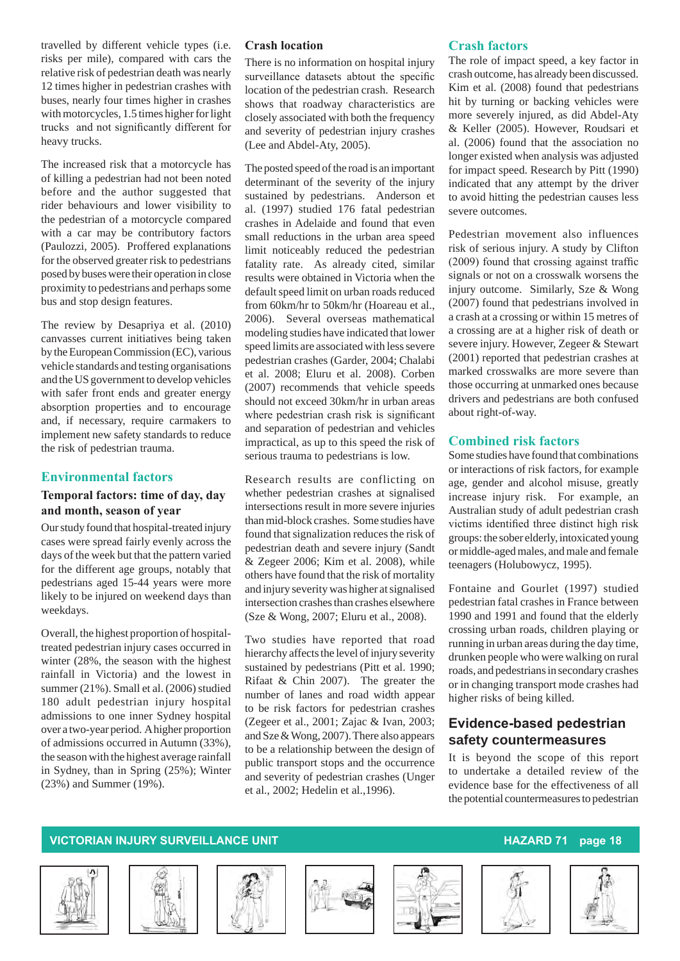travelled by different vehicle types (i.e. risks per mile), compared with cars the relative risk of pedestrian death was nearly 12 times higher in pedestrian crashes with buses, nearly four times higher in crashes with motorcycles, 1.5 times higher for light trucks and not significantly different for heavy trucks.

The increased risk that a motorcycle has of killing a pedestrian had not been noted before and the author suggested that rider behaviours and lower visibility to the pedestrian of a motorcycle compared with a car may be contributory factors (Paulozzi, 2005). Proffered explanations for the observed greater risk to pedestrians posed by buses were their operation in close proximity to pedestrians and perhaps some bus and stop design features.

The review by Desapriya et al. (2010) canvasses current initiatives being taken by the European Commission (EC), various vehicle standards and testing organisations and the US government to develop vehicles with safer front ends and greater energy absorption properties and to encourage and, if necessary, require carmakers to implement new safety standards to reduce the risk of pedestrian trauma.

#### **Environmental factors**

#### **Temporal factors: time of day, day and month, season of year**

Our study found that hospital-treated injury cases were spread fairly evenly across the days of the week but that the pattern varied for the different age groups, notably that pedestrians aged 15-44 years were more likely to be injured on weekend days than weekdays.

Overall, the highest proportion of hospitaltreated pedestrian injury cases occurred in winter (28%, the season with the highest rainfall in Victoria) and the lowest in summer (21%). Small et al. (2006) studied 180 adult pedestrian injury hospital admissions to one inner Sydney hospital over a two-year period. A higher proportion of admissions occurred in Autumn (33%), the season with the highest average rainfall in Sydney, than in Spring (25%); Winter (23%) and Summer (19%).

#### **Crash location**

There is no information on hospital injury surveillance datasets abtout the specific location of the pedestrian crash. Research shows that roadway characteristics are closely associated with both the frequency and severity of pedestrian injury crashes (Lee and Abdel-Aty, 2005).

The posted speed of the road is an important determinant of the severity of the injury sustained by pedestrians. Anderson et al. (1997) studied 176 fatal pedestrian crashes in Adelaide and found that even small reductions in the urban area speed limit noticeably reduced the pedestrian fatality rate. As already cited, similar results were obtained in Victoria when the default speed limit on urban roads reduced from 60km/hr to 50km/hr (Hoareau et al., 2006). Several overseas mathematical modeling studies have indicated that lower speed limits are associated with less severe pedestrian crashes (Garder, 2004; Chalabi et al. 2008; Eluru et al. 2008). Corben (2007) recommends that vehicle speeds should not exceed 30km/hr in urban areas where pedestrian crash risk is significant and separation of pedestrian and vehicles impractical, as up to this speed the risk of serious trauma to pedestrians is low.

Research results are conflicting on whether pedestrian crashes at signalised intersections result in more severe injuries than mid-block crashes. Some studies have found that signalization reduces the risk of pedestrian death and severe injury (Sandt & Zegeer 2006; Kim et al. 2008), while others have found that the risk of mortality and injury severity was higher at signalised intersection crashes than crashes elsewhere (Sze & Wong, 2007; Eluru et al., 2008).

Two studies have reported that road hierarchy affects the level of injury severity sustained by pedestrians (Pitt et al. 1990; Rifaat & Chin 2007). The greater the number of lanes and road width appear to be risk factors for pedestrian crashes (Zegeer et al., 2001; Zajac & Ivan, 2003; and Sze & Wong, 2007). There also appears to be a relationship between the design of public transport stops and the occurrence and severity of pedestrian crashes (Unger et al., 2002; Hedelin et al.,1996).

#### **Crash factors**

The role of impact speed, a key factor in crash outcome, has already been discussed. Kim et al. (2008) found that pedestrians hit by turning or backing vehicles were more severely injured, as did Abdel-Aty & Keller (2005). However, Roudsari et al. (2006) found that the association no longer existed when analysis was adjusted for impact speed. Research by Pitt (1990) indicated that any attempt by the driver to avoid hitting the pedestrian causes less severe outcomes.

Pedestrian movement also influences risk of serious injury. A study by Clifton (2009) found that crossing against traffic signals or not on a crosswalk worsens the injury outcome. Similarly, Sze & Wong (2007) found that pedestrians involved in a crash at a crossing or within 15 metres of a crossing are at a higher risk of death or severe injury. However, Zegeer & Stewart (2001) reported that pedestrian crashes at marked crosswalks are more severe than those occurring at unmarked ones because drivers and pedestrians are both confused about right-of-way.

#### **Combined risk factors**

Some studies have found that combinations or interactions of risk factors, for example age, gender and alcohol misuse, greatly increase injury risk. For example, an Australian study of adult pedestrian crash victims identified three distinct high risk groups: the sober elderly, intoxicated young or middle-aged males, and male and female teenagers (Holubowycz, 1995).

Fontaine and Gourlet (1997) studied pedestrian fatal crashes in France between 1990 and 1991 and found that the elderly crossing urban roads, children playing or running in urban areas during the day time, drunken people who were walking on rural roads, and pedestrians in secondary crashes or in changing transport mode crashes had higher risks of being killed.

### **Evidence-based pedestrian safety countermeasures**

It is beyond the scope of this report to undertake a detailed review of the evidence base for the effectiveness of all the potential countermeasures to pedestrian













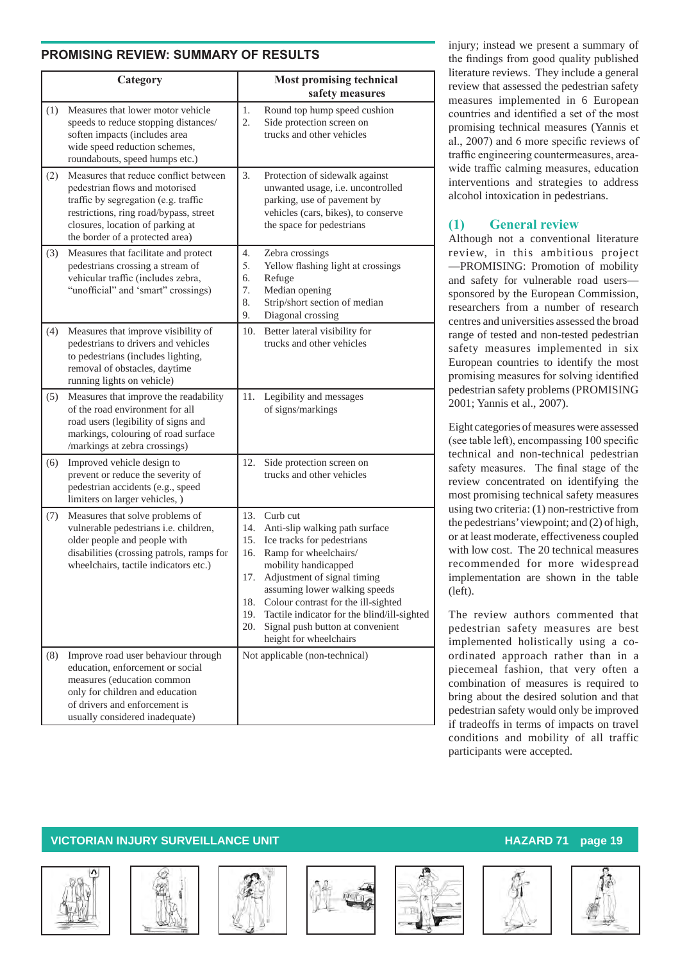### **PROMISING REVIEW: SUMMARY OF RESULTS**

|     | Category                                                                                                                                                                                                                         |                                                      | <b>Most promising technical</b><br>safety measures                                                                                                                                                                                                                                                                                            |
|-----|----------------------------------------------------------------------------------------------------------------------------------------------------------------------------------------------------------------------------------|------------------------------------------------------|-----------------------------------------------------------------------------------------------------------------------------------------------------------------------------------------------------------------------------------------------------------------------------------------------------------------------------------------------|
| (1) | Measures that lower motor vehicle<br>speeds to reduce stopping distances/<br>soften impacts (includes area<br>wide speed reduction schemes,<br>roundabouts, speed humps etc.)                                                    | 1.<br>2.                                             | Round top hump speed cushion<br>Side protection screen on<br>trucks and other vehicles                                                                                                                                                                                                                                                        |
| (2) | Measures that reduce conflict between<br>pedestrian flows and motorised<br>traffic by segregation (e.g. traffic<br>restrictions, ring road/bypass, street<br>closures, location of parking at<br>the border of a protected area) | 3.                                                   | Protection of sidewalk against<br>unwanted usage, i.e. uncontrolled<br>parking, use of pavement by<br>vehicles (cars, bikes), to conserve<br>the space for pedestrians                                                                                                                                                                        |
| (3) | Measures that facilitate and protect<br>pedestrians crossing a stream of<br>vehicular traffic (includes zebra,<br>"unofficial" and 'smart" crossings)                                                                            | 4.<br>5.<br>6.<br>7.<br>8.<br>9.                     | Zebra crossings<br>Yellow flashing light at crossings<br>Refuge<br>Median opening<br>Strip/short section of median<br>Diagonal crossing                                                                                                                                                                                                       |
| (4) | Measures that improve visibility of<br>pedestrians to drivers and vehicles<br>to pedestrians (includes lighting,<br>removal of obstacles, daytime<br>running lights on vehicle)                                                  | 10.                                                  | Better lateral visibility for<br>trucks and other vehicles                                                                                                                                                                                                                                                                                    |
| (5) | Measures that improve the readability<br>of the road environment for all<br>road users (legibility of signs and<br>markings, colouring of road surface<br>/markings at zebra crossings)                                          | 11.                                                  | Legibility and messages<br>of signs/markings                                                                                                                                                                                                                                                                                                  |
| (6) | Improved vehicle design to<br>prevent or reduce the severity of<br>pedestrian accidents (e.g., speed<br>limiters on larger vehicles, )                                                                                           | 12.                                                  | Side protection screen on<br>trucks and other vehicles                                                                                                                                                                                                                                                                                        |
| (7) | Measures that solve problems of<br>vulnerable pedestrians i.e. children,<br>older people and people with<br>disabilities (crossing patrols, ramps for<br>wheelchairs, tactile indicators etc.)                                   | 13.<br>14.<br>15.<br>16.<br>17.<br>18.<br>19.<br>20. | Curb cut<br>Anti-slip walking path surface<br>Ice tracks for pedestrians<br>Ramp for wheelchairs/<br>mobility handicapped<br>Adjustment of signal timing<br>assuming lower walking speeds<br>Colour contrast for the ill-sighted<br>Tactile indicator for the blind/ill-sighted<br>Signal push button at convenient<br>height for wheelchairs |
| (8) | Improve road user behaviour through<br>education, enforcement or social<br>measures (education common<br>only for children and education<br>of drivers and enforcement is<br>usually considered inadequate)                      |                                                      | Not applicable (non-technical)                                                                                                                                                                                                                                                                                                                |

injury; instead we present a summary of the findings from good quality published literature reviews. They include a general review that assessed the pedestrian safety measures implemented in 6 European countries and identified a set of the most promising technical measures (Yannis et al., 2007) and 6 more specific reviews of traffic engineering countermeasures, areawide traffic calming measures, education interventions and strategies to address alcohol intoxication in pedestrians.

### **(1) General review**

Although not a conventional literature review, in this ambitious project —PROMISING: Promotion of mobility and safety for vulnerable road users sponsored by the European Commission, researchers from a number of research centres and universities assessed the broad range of tested and non-tested pedestrian safety measures implemented in six European countries to identify the most promising measures for solving identified pedestrian safety problems (PROMISING 2001; Yannis et al., 2007).

Eight categories of measures were assessed (see table left), encompassing 100 specific technical and non-technical pedestrian safety measures. The final stage of the review concentrated on identifying the most promising technical safety measures using two criteria: (1) non-restrictive from the pedestrians' viewpoint; and (2) of high, or at least moderate, effectiveness coupled with low cost. The 20 technical measures recommended for more widespread implementation are shown in the table (left).

The review authors commented that pedestrian safety measures are best implemented holistically using a coordinated approach rather than in a piecemeal fashion, that very often a combination of measures is required to bring about the desired solution and that pedestrian safety would only be improved if tradeoffs in terms of impacts on travel conditions and mobility of all traffic participants were accepted.











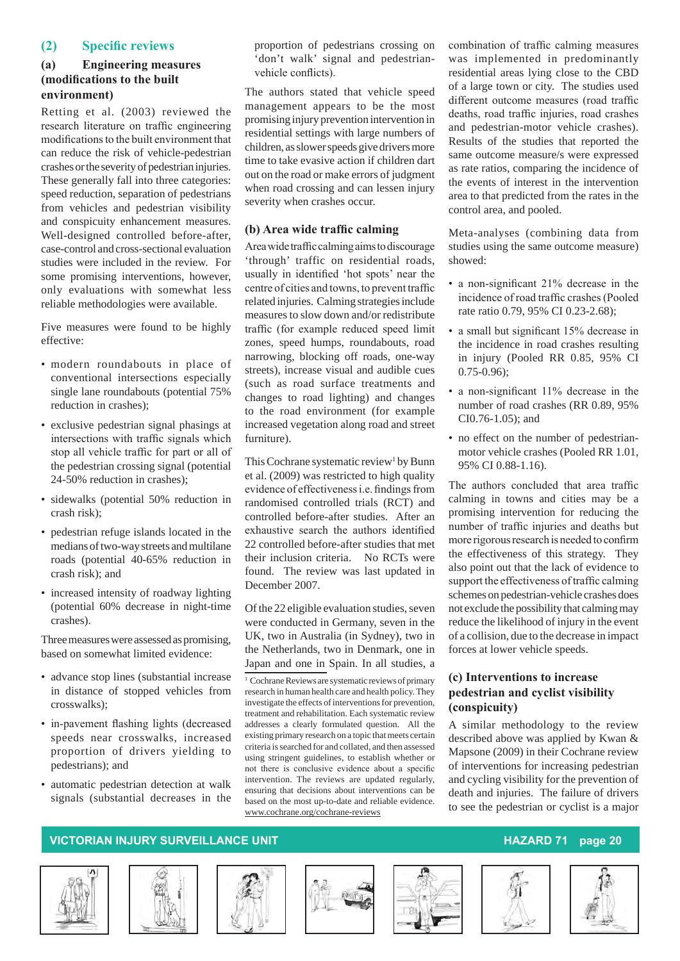#### **(2) Specific reviews**

#### **(a) Engineering measures (modifications to the built environment)**

Retting et al. (2003) reviewed the research literature on traffic engineering modifications to the built environment that can reduce the risk of vehicle-pedestrian crashes or the severity of pedestrian injuries. These generally fall into three categories: speed reduction, separation of pedestrians from vehicles and pedestrian visibility and conspicuity enhancement measures. Well-designed controlled before-after, case-control and cross-sectional evaluation studies were included in the review. For some promising interventions, however, only evaluations with somewhat less reliable methodologies were available.

Five measures were found to be highly effective:

- modern roundabouts in place of conventional intersections especially single lane roundabouts (potential 75% reduction in crashes);
- exclusive pedestrian signal phasings at intersections with traffic signals which stop all vehicle traffic for part or all of the pedestrian crossing signal (potential 24-50% reduction in crashes);
- sidewalks (potential 50% reduction in crash risk);
- • pedestrian refuge islands located in the medians of two-way streets and multilane roads (potential 40-65% reduction in crash risk); and
- increased intensity of roadway lighting (potential 60% decrease in night-time crashes).

Three measures were assessed as promising, based on somewhat limited evidence:

- advance stop lines (substantial increase in distance of stopped vehicles from crosswalks);
- in-pavement flashing lights (decreased speeds near crosswalks, increased proportion of drivers yielding to pedestrians); and
- automatic pedestrian detection at walk signals (substantial decreases in the

proportion of pedestrians crossing on 'don't walk' signal and pedestrianvehicle conflicts).

The authors stated that vehicle speed management appears to be the most promising injury prevention intervention in residential settings with large numbers of children, as slower speeds give drivers more time to take evasive action if children dart out on the road or make errors of judgment when road crossing and can lessen injury severity when crashes occur.

#### **(b) Area wide traffic calming**

Areawidetrafficcalmingaimstodiscourage 'through' traffic on residential roads, usually in identified 'hot spots' near the centre of cities and towns, to prevent traffic related injuries. Calming strategies include measures to slow down and/or redistribute traffic (for example reduced speed limit zones, speed humps, roundabouts, road narrowing, blocking off roads, one-way streets), increase visual and audible cues (such as road surface treatments and changes to road lighting) and changes to the road environment (for example increased vegetation along road and street furniture).

This Cochrane systematic review<sup>1</sup> by Bunn et al. (2009) was restricted to high quality evidence of effectiveness i.e. findings from randomised controlled trials (RCT) and controlled before-after studies. After an exhaustive search the authors identified 22 controlled before-after studies that met their inclusion criteria. No RCTs were found. The review was last updated in December 2007.

Of the 22 eligible evaluation studies, seven were conducted in Germany, seven in the UK, two in Australia (in Sydney), two in the Netherlands, two in Denmark, one in Japan and one in Spain. In all studies, a

<sup>1</sup> Cochrane Reviews are systematic reviews of primary research in human health care and health policy. They investigate the effects of interventions for prevention, treatment and rehabilitation. Each systematic review addresses a clearly formulated question. All the existing primary research on a topic that meets certain criteria is searched for and collated, and then assessed using stringent guidelines, to establish whether or not there is conclusive evidence about a specific intervention. The reviews are updated regularly, ensuring that decisions about interventions can be based on the most up-to-date and reliable evidence. www.cochrane.org/cochrane-reviews

combination of traffic calming measures was implemented in predominantly residential areas lying close to the CBD of a large town or city. The studies used different outcome measures (road traffic deaths, road traffic injuries, road crashes and pedestrian-motor vehicle crashes). Results of the studies that reported the same outcome measure/s were expressed as rate ratios, comparing the incidence of the events of interest in the intervention area to that predicted from the rates in the control area, and pooled.

Meta-analyses (combining data from studies using the same outcome measure) showed:

- a non-significant 21% decrease in the incidence of road traffic crashes(Pooled rate ratio 0.79, 95% CI 0.23-2.68);
- a small but significant 15% decrease in the incidence in road crashes resulting in injury (Pooled RR 0.85, 95% CI 0.75-0.96);
- a non-significant 11% decrease in the number of road crashes (RR 0.89, 95% CI0.76-1.05); and
- no effect on the number of pedestrianmotor vehicle crashes (Pooled RR 1.01, 95% CI 0.88-1.16).

The authors concluded that area traffic calming in towns and cities may be a promising intervention for reducing the number of traffic injuries and deaths but more rigorous research is needed to confirm the effectiveness of this strategy. They also point out that the lack of evidence to support the effectiveness of traffic calming schemes on pedestrian-vehicle crashes does not exclude the possibility that calming may reduce the likelihood of injury in the event of a collision, due to the decrease in impact forces at lower vehicle speeds.

#### **(c) Interventions to increase pedestrian and cyclist visibility (conspicuity)**

A similar methodology to the review described above was applied by Kwan & Mapsone (2009) in their Cochrane review of interventions for increasing pedestrian and cycling visibility for the prevention of death and injuries. The failure of drivers to see the pedestrian or cyclist is a major











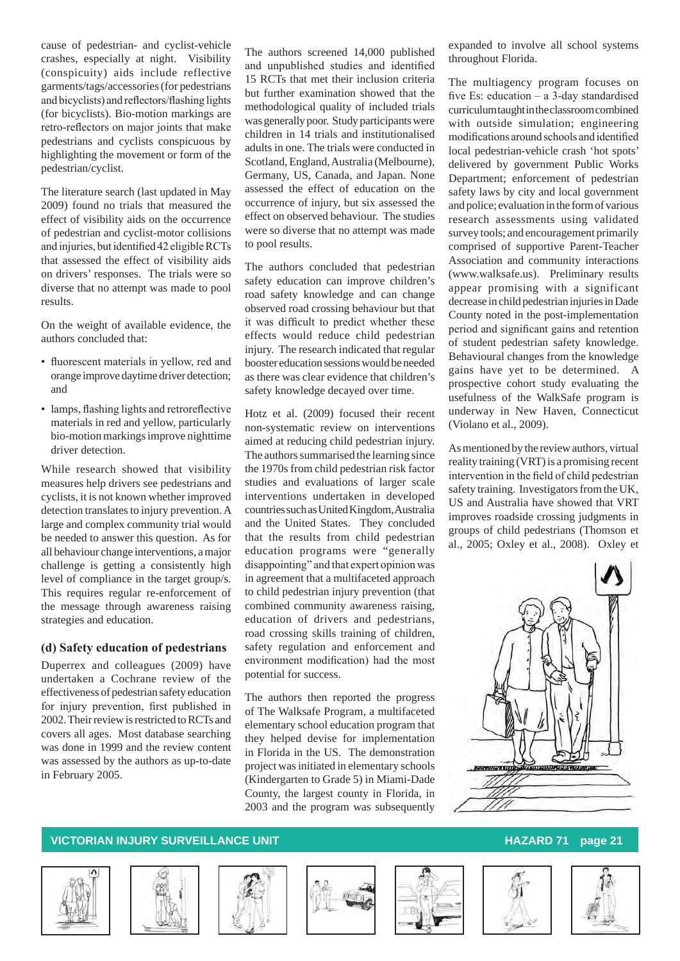cause of pedestrian- and cyclist-vehicle crashes, especially at night. Visibility (conspicuity) aids include reflective garments/tags/accessories (for pedestrians and bicyclists) and reflectors/flashing lights (for bicyclists). Bio-motion markings are retro-reflectors on major joints that make pedestrians and cyclists conspicuous by highlighting the movement or form of the pedestrian/cyclist.

The literature search (last updated in May 2009) found no trials that measured the effect of visibility aids on the occurrence of pedestrian and cyclist-motor collisions and injuries, butidentified 42 eligibleRCTs that assessed the effect of visibility aids on drivers' responses. The trials were so diverse that no attempt was made to pool results.

On the weight of available evidence, the authors concluded that:

- fluorescent materials in yellow, red and orange improve daytime driver detection; and
- lamps, flashing lights and retroreflective materials in red and yellow, particularly bio-motion markings improve nighttime driver detection.

While research showed that visibility measures help drivers see pedestrians and cyclists, it is not known whether improved detection translates to injury prevention. A large and complex community trial would be needed to answer this question. As for all behaviour change interventions, a major challenge is getting a consistently high level of compliance in the target group/s. This requires regular re-enforcement of the message through awareness raising strategies and education.

#### **(d) Safety education of pedestrians**

Duperrex and colleagues (2009) have undertaken a Cochrane review of the effectiveness of pedestrian safety education for injury prevention, first published in 2002. Their review is restricted to RCTs and covers all ages. Most database searching was done in 1999 and the review content was assessed by the authors as up-to-date in February 2005.

The authors screened 14,000 published and unpublished studies and identified 15 RCTs that met their inclusion criteria but further examination showed that the methodological quality of included trials was generally poor. Study participants were children in 14 trials and institutionalised adults in one. The trials were conducted in Scotland, England, Australia (Melbourne), Germany, US, Canada, and Japan. None assessed the effect of education on the occurrence of injury, but six assessed the effect on observed behaviour. The studies were so diverse that no attempt was made to pool results.

The authors concluded that pedestrian safety education can improve children's road safety knowledge and can change observed road crossing behaviour but that it was difficult to predict whether these effects would reduce child pedestrian injury. The research indicated that regular booster education sessions would be needed as there was clear evidence that children's safety knowledge decayed over time.

Hotz et al. (2009) focused their recent non-systematic review on interventions aimed at reducing child pedestrian injury. The authors summarised the learning since the 1970s from child pedestrian risk factor studies and evaluations of larger scale interventions undertaken in developed countries such as United Kingdom, Australia and the United States. They concluded that the results from child pedestrian education programs were "generally disappointing" and that expert opinion was in agreement that a multifaceted approach to child pedestrian injury prevention (that combined community awareness raising, education of drivers and pedestrians, road crossing skills training of children, safety regulation and enforcement and environment modification) had the most potential for success.

The authors then reported the progress of The Walksafe Program, a multifaceted elementary school education program that they helped devise for implementation in Florida in the US. The demonstration project was initiated in elementary schools (Kindergarten to Grade 5) in Miami-Dade County, the largest county in Florida, in 2003 and the program was subsequently expanded to involve all school systems throughout Florida.

The multiagency program focuses on five Es: education – a 3-day standardised curriculum taught in the classroom combined with outside simulation; engineering modifications around schools and identified local pedestrian-vehicle crash 'hot spots' delivered by government Public Works Department; enforcement of pedestrian safety laws by city and local government and police; evaluation in the form of various research assessments using validated survey tools; and encouragement primarily comprised of supportive Parent-Teacher Association and community interactions (www.walksafe.us). Preliminary results appear promising with a significant decrease in child pedestrian injuries in Dade County noted in the post-implementation period and significant gains and retention of student pedestrian safety knowledge. Behavioural changes from the knowledge gains have yet to be determined. A prospective cohort study evaluating the usefulness of the WalkSafe program is underway in New Haven, Connecticut (Violano et al., 2009).

As mentioned by the review authors, virtual reality training (VRT) is a promising recent intervention in the field of child pedestrian safety training. Investigators from the UK, US and Australia have showed that VRT improves roadside crossing judgments in groups of child pedestrians (Thomson et al., 2005; Oxley et al., 2008). Oxley et















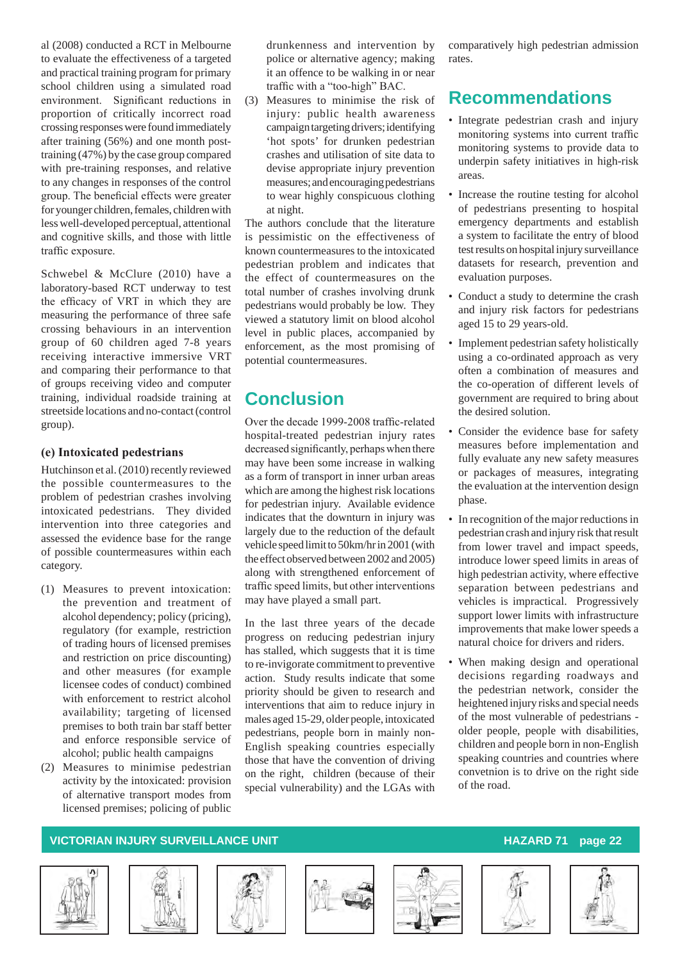al (2008) conducted a RCT in Melbourne to evaluate the effectiveness of a targeted and practical training program for primary school children using a simulated road environment. Significant reductions in proportion of critically incorrect road crossing responses were found immediately after training (56%) and one month posttraining (47%) by the case group compared with pre-training responses, and relative to any changes in responses of the control group. The beneficial effects were greater for younger children, females, children with less well-developed perceptual, attentional and cognitive skills, and those with little traffic exposure.

Schwebel & McClure (2010) have a laboratory-based RCT underway to test the efficacy of VRT in which they are measuring the performance of three safe crossing behaviours in an intervention group of 60 children aged 7-8 years receiving interactive immersive VRT and comparing their performance to that of groups receiving video and computer training, individual roadside training at streetside locations and no-contact (control group).

#### **(e) Intoxicated pedestrians**

Hutchinson et al. (2010) recently reviewed the possible countermeasures to the problem of pedestrian crashes involving intoxicated pedestrians. They divided intervention into three categories and assessed the evidence base for the range of possible countermeasures within each category.

- (1) Measures to prevent intoxication: the prevention and treatment of alcohol dependency; policy (pricing), regulatory (for example, restriction of trading hours of licensed premises and restriction on price discounting) and other measures (for example licensee codes of conduct) combined with enforcement to restrict alcohol availability; targeting of licensed premises to both train bar staff better and enforce responsible service of alcohol; public health campaigns
- (2) Measures to minimise pedestrian activity by the intoxicated: provision of alternative transport modes from licensed premises; policing of public

drunkenness and intervention by police or alternative agency; making it an offence to be walking in or near traffic with a "too-high" BAC.

(3) Measures to minimise the risk of injury: public health awareness campaign targeting drivers; identifying 'hot spots' for drunken pedestrian crashes and utilisation of site data to devise appropriate injury prevention measures; and encouraging pedestrians to wear highly conspicuous clothing at night.

The authors conclude that the literature is pessimistic on the effectiveness of known countermeasures to the intoxicated pedestrian problem and indicates that the effect of countermeasures on the total number of crashes involving drunk pedestrians would probably be low. They viewed a statutory limit on blood alcohol level in public places, accompanied by enforcement, as the most promising of potential countermeasures.

# **Conclusion**

Over the decade 1999-2008 traffic-related hospital-treated pedestrian injury rates decreased significantly, perhaps when there may have been some increase in walking as a form of transport in inner urban areas which are among the highest risk locations for pedestrian injury. Available evidence indicates that the downturn in injury was largely due to the reduction of the default vehicle speed limit to 50km/hr in 2001 (with the effect observed between 2002 and 2005) along with strengthened enforcement of traffic speed limits, but other interventions may have played a small part.

In the last three years of the decade progress on reducing pedestrian injury has stalled, which suggests that it is time to re-invigorate commitment to preventive action. Study results indicate that some priority should be given to research and interventions that aim to reduce injury in males aged 15-29, older people, intoxicated pedestrians, people born in mainly non-English speaking countries especially those that have the convention of driving on the right, children (because of their special vulnerability) and the LGAs with comparatively high pedestrian admission rates.

## **Recommendations**

- Integrate pedestrian crash and injury monitoring systems into current traffic monitoring systems to provide data to underpin safety initiatives in high-risk areas.
- Increase the routine testing for alcohol of pedestrians presenting to hospital emergency departments and establish a system to facilitate the entry of blood test results on hospital injury surveillance datasets for research, prevention and evaluation purposes.
- Conduct a study to determine the crash and injury risk factors for pedestrians aged 15 to 29 years-old.
- Implement pedestrian safety holistically using a co-ordinated approach as very often a combination of measures and the co-operation of different levels of government are required to bring about the desired solution.
- Consider the evidence base for safety measures before implementation and fully evaluate any new safety measures or packages of measures, integrating the evaluation at the intervention design phase.
- In recognition of the major reductions in pedestrian crash and injury risk that result from lower travel and impact speeds, introduce lower speed limits in areas of high pedestrian activity, where effective separation between pedestrians and vehicles is impractical. Progressively support lower limits with infrastructure improvements that make lower speeds a natural choice for drivers and riders.
- When making design and operational decisions regarding roadways and the pedestrian network, consider the heightened injury risks and special needs of the most vulnerable of pedestrians older people, people with disabilities, children and people born in non-English speaking countries and countries where convetnion is to drive on the right side of the road.











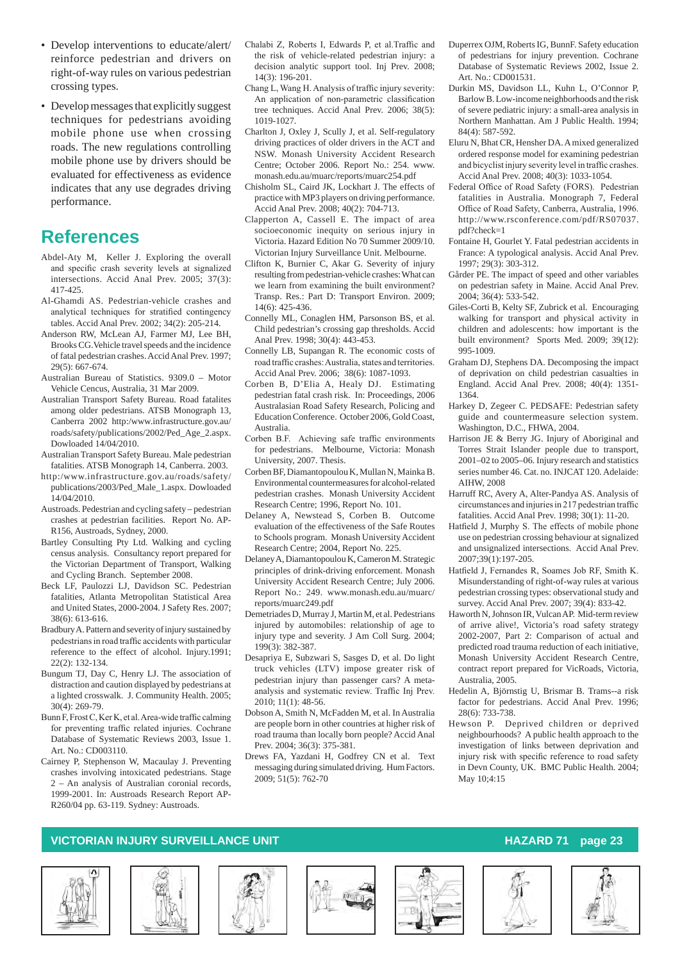- Develop interventions to educate/alert/ reinforce pedestrian and drivers on right-of-way rules on various pedestrian crossing types.
- Develop messages that explicitly suggest techniques for pedestrians avoiding mobile phone use when crossing roads. The new regulations controlling mobile phone use by drivers should be evaluated for effectiveness as evidence indicates that any use degrades driving performance.

### **References**

- Abdel-Aty M, Keller J. Exploring the overall and specific crash severity levels at signalized intersections. Accid Anal Prev. 2005; 37(3): 417-425.
- Al-Ghamdi AS. Pedestrian-vehicle crashes and analytical techniques for stratified contingency tables. Accid Anal Prev. 2002; 34(2): 205-214.
- Anderson RW, McLean AJ, Farmer MJ, Lee BH Brooks CG.Vehicle travel speeds and the incidence of fatal pedestrian crashes. Accid Anal Prev. 1997; 29(5): 667-674.
- Australian Bureau of Statistics. 9309.0 Motor Vehicle Cencus, Australia, 31 Mar 2009.
- Australian Transport Safety Bureau. Road fatalites among older pedestrians. ATSB Monograph 13, Canberra 2002 http:/www.infrastructure.gov.au/ roads/safety/publications/2002/Ped\_Age\_2.aspx. Dowloaded 14/04/2010.
- Australian Transport Safety Bureau. Male pedestrian fatalities. ATSB Monograph 14, Canberra. 2003.
- http:/www.infrastructure.gov.au/roads/safety/ publications/2003/Ped\_Male\_1.aspx. Dowloaded 14/04/2010.
- Austroads. Pedestrian and cycling safety pedestrian crashes at pedestrian facilities. Report No. AP-R156, Austroads, Sydney, 2000.
- Bartley Consulting Pty Ltd. Walking and cycling census analysis. Consultancy report prepared for the Victorian Department of Transport, Walking and Cycling Branch. September 2008.
- Beck LF, Paulozzi LJ, Davidson SC. Pedestrian fatalities, Atlanta Metropolitan Statistical Area and United States, 2000-2004. J Safety Res. 2007; 38(6): 613-616.
- Bradbury A. Pattern and severity of injury sustained by pedestriansin road traffic accidents with particular reference to the effect of alcohol. Injury.1991; 22(2): 132-134.
- Bungum TJ, Day C, Henry LJ. The association of distraction and caution displayed by pedestrians at a lighted crosswalk. J. Community Health. 2005; 30(4): 269-79.
- BunnF,FrostC,KerK, et al.Area-wide traffic calming for preventing traffic related injuries. Cochrane Database of Systematic Reviews 2003, Issue 1. Art. No.: CD003110.
- Cairney P, Stephenson W, Macaulay J. Preventing crashes involving intoxicated pedestrians. Stage 2 – An analysis of Australian coronial records, 1999-2001. In: Austroads Research Report AP-R260/04 pp. 63-119. Sydney: Austroads.
- Chalabi Z, Roberts I, Edwards P, et al.Traffic and the risk of vehicle-related pedestrian injury: a decision analytic support tool. Inj Prev. 2008; 14(3): 196-201.
- Chang L, Wang H.Analysis of traffic injury severity: An application of non-parametric classification tree techniques. Accid Anal Prev. 2006; 38(5): 1019-1027.
- Charlton J, Oxley J, Scully J, et al. Self-regulatory driving practices of older drivers in the ACT and NSW. Monash University Accident Research Centre; October 2006. Report No.: 254. www. monash.edu.au/muarc/reports/muarc254.pdf
- Chisholm SL, Caird JK, Lockhart J. The effects of practice with MP3 players on driving performance. Accid Anal Prev. 2008; 40(2): 704-713.
- Clapperton A, Cassell E. The impact of area socioeconomic inequity on serious injury in Victoria. Hazard Edition No 70 Summer 2009/10. Victorian Injury Surveillance Unit. Melbourne.
- Clifton K, Burnier C, Akar G. Severity of injury resulting from pedestrian-vehicle crashes: What can we learn from examining the built environment? Transp. Res.: Part D: Transport Environ. 2009; 14(6): 425-436.
- Connelly ML, Conaglen HM, Parsonson BS, et al. Child pedestrian's crossing gap thresholds. Accid Anal Prev. 1998; 30(4): 443-453.
- Connelly LB, Supangan R. The economic costs of road traffic crashes: Australia, states and territories. Accid Anal Prev. 2006; 38(6): 1087-1093.
- Corben B, D'Elia A, Healy DJ. Estimating pedestrian fatal crash risk. In: Proceedings, 2006 Australasian Road Safety Research, Policing and Education Conference. October 2006, Gold Coast, Australia.
- Corben B.F. Achieving safe traffic environments for pedestrians. Melbourne, Victoria: Monash University, 2007. Thesis.
- Corben BF, Diamantopoulou K, Mullan N, Mainka B. Environmental countermeasures for alcohol-related pedestrian crashes. Monash University Accident Research Centre; 1996, Report No. 101.
- Delaney A, Newstead S, Corben B. Outcome evaluation of the effectiveness of the Safe Routes to Schools program. Monash University Accident Research Centre; 2004, Report No. 225.
- Delaney A, Diamantopoulou K, Cameron M. Strategic principles of drink-driving enforcement. Monash University Accident Research Centre; July 2006. Report No.: 249. www.monash.edu.au/muarc/ reports/muarc249.pdf
- Demetriades D, Murray J, Martin M, et al. Pedestrians injured by automobiles: relationship of age to injury type and severity. J Am Coll Surg. 2004; 199(3): 382-387.
- Desapriya E, Subzwari S, Sasges D, et al. Do light truck vehicles (LTV) impose greater risk of pedestrian injury than passenger cars? A metaanalysis and systematic review. Traffic Inj Prev. 2010; 11(1): 48-56.
- Dobson A, Smith N, McFadden M, et al. In Australia are people born in other countries at higher risk of road trauma than locally born people? Accid Anal Prev. 2004; 36(3): 375-381.
- Drews FA, Yazdani H, Godfrey CN et al. Text messaging during simulated driving. Hum Factors. 2009; 51(5): 762-70
- Duperrex OJM, Roberts IG, BunnF. Safety education of pedestrians for injury prevention. Cochrane Database of Systematic Reviews 2002, Issue 2. Art. No.: CD001531.
- Durkin MS, Davidson LL, Kuhn L, O'Connor P, Barlow B. Low-income neighborhoods and the risk of severe pediatric injury: a small-area analysis in Northern Manhattan. Am J Public Health. 1994; 84(4): 587-592.
- Eluru N, Bhat CR, Hensher DA. A mixed generalized ordered response model for examining pedestrian and bicyclist injury severity level in traffic crashes. Accid Anal Prev. 2008; 40(3): 1033-1054.
- Federal Office of Road Safety (FORS). Pedestrian fatalities in Australia. Monograph 7, Federal Office of Road Safety, Canberra, Australia, 1996. http://www.rsconference.com/pdf/RS07037. pdf?check=1
- Fontaine H, Gourlet Y. Fatal pedestrian accidents in France: A typological analysis. Accid Anal Prev. 1997; 29(3): 303-312.
- Gårder PE. The impact of speed and other variables on pedestrian safety in Maine. Accid Anal Prev. 2004; 36(4): 533-542.
- Giles-Corti B, Kelty SF, Zubrick et al. Encouraging walking for transport and physical activity in children and adolescents: how important is the built environment? Sports Med. 2009; 39(12): 995-1009.
- Graham DJ, Stephens DA. Decomposing the impact of deprivation on child pedestrian casualties in England. Accid Anal Prev. 2008; 40(4): 1351- 1364.
- Harkey D, Zegeer C. PEDSAFE: Pedestrian safety guide and countermeasure selection system. Washington, D.C., FHWA, 2004.
- Harrison JE & Berry JG. Injury of Aboriginal and Torres Strait Islander people due to transport, 2001–02 to 2005–06. Injury research and statistics series number 46. Cat. no. **INJCAT 120.** Adelaide: AIHW, 2008
- Harruff RC, Avery A, Alter-Pandya AS. Analysis of circumstances and injuriesin 217 pedestrian traffic fatalities. Accid Anal Prev. 1998; 30(1): 11-20.
- Hatfield J, Murphy S. The effects of mobile phone use on pedestrian crossing behaviour at signalized and unsignalized intersections. Accid Anal Prev. 2007;39(1):197-205.
- Hatfield J, Fernandes R, Soames Job RF, Smith K. Misunderstanding of right-of-way rules at various pedestrian crossing types: observational study and survey. Accid Anal Prev. 2007; 39(4): 833-42.
- Haworth N, Johnson IR, Vulcan AP. Mid-term review of arrive alive!, Victoria's road safety strategy 2002-2007, Part 2: Comparison of actual and predicted road trauma reduction of each initiative, Monash University Accident Research Centre, contract report prepared for VicRoads, Victoria, Australia, 2005.
- Hedelin A, Björnstig U, Brismar B. Trams--a risk factor for pedestrians. Accid Anal Prev. 1996; 28(6): 733-738.
- Hewson P. Deprived children or deprived neighbourhoods? A public health approach to the investigation of links between deprivation and injury risk with specific reference to road safety in Devn County, UK. BMC Public Health. 2004; May 10;4:15









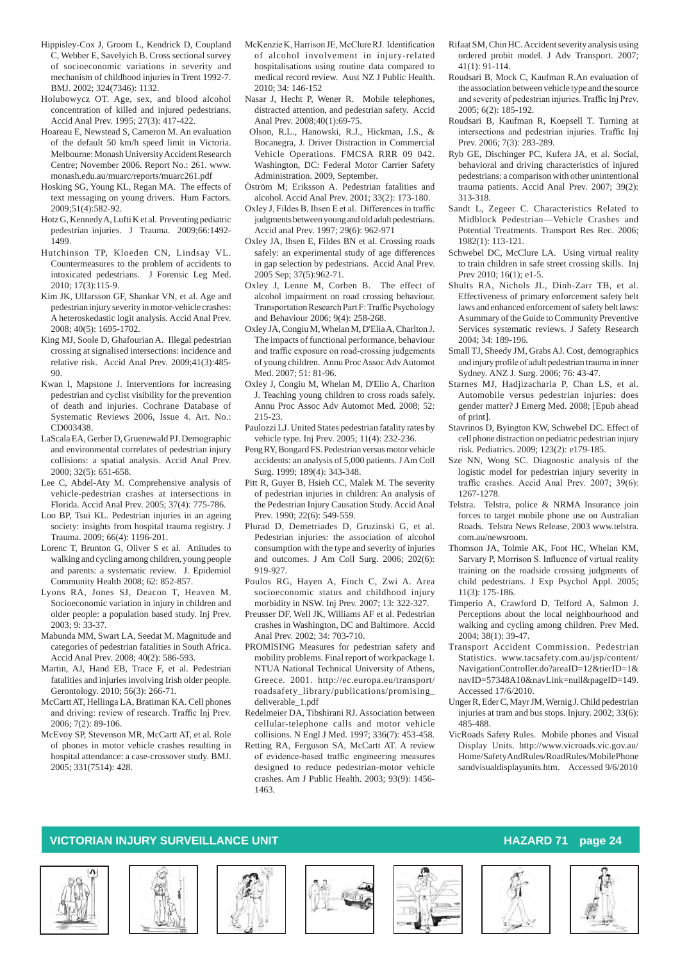- Hippisley-Cox J, Groom L, Kendrick D, Coupland C, Webber E, Savelyich B. Cross sectional survey of socioeconomic variations in severity and mechanism of childhood injuries in Trent 1992-7. BMJ. 2002; 324(7346): 1132.
- Holubowycz OT. Age, sex, and blood alcohol concentration of killed and injured pedestrians. Accid Anal Prev. 1995; 27(3): 417-422.
- Hoareau E, Newstead S, Cameron M. An evaluation of the default 50 km/h speed limit in Victoria. Melbourne: Monash University Accident Research Centre; November 2006. Report No.: 261. www. monash.edu.au/muarc/reports/muarc261.pdf
- Hosking SG, Young KL, Regan MA. The effects of text messaging on young drivers. Hum Factors. 2009;51(4):582-92.
- Hotz G, Kennedy A, Lufti K et al. Preventing pediatric pedestrian injuries. J Trauma. 2009;66:1492- 1499.
- Hutchinson TP, Kloeden CN, Lindsay VL. Countermeasures to the problem of accidents to intoxicated pedestrians. J Forensic Leg Med. 2010; 17(3):115-9.
- Kim JK, Ulfarsson GF, Shankar VN, et al. Age and pedestrian injury severity in motor-vehicle crashes: A heteroskedastic logit analysis. Accid Anal Prev. 2008; 40(5): 1695-1702.
- King MJ, Soole D, Ghafourian A. Illegal pedestrian crossing at signalised intersections: incidence and relative risk. Accid Anal Prev. 2009;41(3):485- 90.
- Kwan I, Mapstone J. Interventions for increasing pedestrian and cyclist visibility for the prevention of death and injuries. Cochrane Database of Systematic Reviews 2006, Issue 4. Art. No.: CD003438.
- LaScala EA, Gerber D, Gruenewald PJ. Demographic and environmental correlates of pedestrian injury collisions: a spatial analysis. Accid Anal Prev.  $2000 \cdot 32(5) \cdot 651 - 658$
- Lee C, Abdel-Aty M. Comprehensive analysis of vehicle-pedestrian crashes at intersections in Florida. Accid Anal Prev. 2005; 37(4): 775-786.
- Loo BP, Tsui KL. Pedestrian injuries in an ageing society: insights from hospital trauma registry. J Trauma. 2009; 66(4): 1196-201.
- Lorenc T, Brunton G, Oliver S et al. Attitudes to walking and cycling among children, young people and parents: a systematic review. J. Epidemiol Community Health 2008; 62: 852-857.
- Lyons RA, Jones SJ, Deacon T, Heaven M. Socioeconomic variation in injury in children and older people: a population based study. Inj Prev. 2003; 9: 33-37.
- Mabunda MM, Swart LA, Seedat M. Magnitude and categories of pedestrian fatalities in South Africa. Accid Anal Prev. 2008; 40(2): 586-593.
- Martin, AJ, Hand EB, Trace F, et al. Pedestrian fatalities and injuries involving Irish older people. Gerontology. 2010; 56(3): 266-71.
- McCartt AT, Hellinga LA, Bratiman KA. Cell phones and driving: review of research. Traffic Inj Prev. 2006; 7(2): 89-106.
- McEvoy SP, Stevenson MR, McCartt AT, et al. Role of phones in motor vehicle crashes resulting in hospital attendance: a case-crossover study. BMJ. 2005; 331(7514): 428.
- McKenzieK,Harrison JE,McClureRJ. Identification of alcohol involvement in injury-related hospitalisations using routine data compared to medical record review. Aust NZ J Public Health. 2010; 34: 146-152
- Nasar J, Hecht P, Wener R. Mobile telephones, distracted attention, and pedestrian safety. Accid Anal Prev. 2008;40(1):69-75.
- Olson, R.L., Hanowski, R.J., Hickman, J.S., & Bocanegra, J. Driver Distraction in Commercial Vehicle Operations. FMCSA RRR 09 042. Washington, DC: Federal Motor Carrier Safety Administration. 2009, September.
- Öström M; Eriksson A. Pedestrian fatalities and alcohol. Accid Anal Prev. 2001; 33(2): 173-180.
- Oxley J, Fildes B, Ihsen E et al. Differencesin traffic judgments between young and old adult pedestrians. Accid anal Prev. 1997; 29(6): 962-971
- Oxley JA, Ihsen E, Fildes BN et al. Crossing roads safely: an experimental study of age differences in gap selection by pedestrians. Accid Anal Prev. 2005 Sep; 37(5):962-71.
- Oxley J, Lenne M, Corben B. The effect of alcohol impairment on road crossing behaviour. Transportation Research Part F: Traffic Psychology and Behaviour 2006; 9(4): 258-268.
- Oxley JA, Congiu M, Whelan M, D'Elia A, Charlton J. The impacts of functional performance, behaviour and traffic exposure on road-crossing judgements of young children. Annu Proc Assoc Adv Automot Med. 2007; 51: 81-96.
- Oxley J, Congiu M, Whelan M, D'Elio A, Charlton J. Teaching young children to cross roads safely. Annu Proc Assoc Adv Automot Med. 2008; 52: 215-23.
- Paulozzi LJ. United States pedestrian fatality rates by vehicle type. Inj Prev. 2005; 11(4): 232-236.
- Peng RY, Bongard FS. Pedestrian versus motor vehicle accidents: an analysis of 5,000 patients. J Am Coll Surg. 1999; 189(4): 343-348.
- Pitt R, Guyer B, Hsieh CC, Malek M. The severity of pedestrian injuries in children: An analysis of the Pedestrian Injury Causation Study. Accid Anal Prev. 1990; 22(6): 549-559.
- Plurad D, Demetriades D, Gruzinski G, et al. Pedestrian injuries: the association of alcohol consumption with the type and severity of injuries and outcomes. J Am Coll Surg. 2006; 202(6): 919-927.
- Poulos RG, Hayen A, Finch C, Zwi A. Area socioeconomic status and childhood injury morbidity in NSW. Inj Prev. 2007; 13: 322-327.
- Preusser DF, Well JK, Williams AF et al. Pedestrian crashes in Washington, DC and Baltimore. Accid Anal Prev. 2002; 34: 703-710.
- PROMISING Measures for pedestrian safety and mobility problems. Final report of workpackage 1. NTUA National Technical University of Athens, Greece. 2001. http://ec.europa.eu/transport/ roadsafety\_library/publications/promising\_ deliverable\_1.pdf
- Redelmeier DA, Tibshirani RJ. Association between cellular-telephone calls and motor vehicle collisions. N Engl J Med. 1997; 336(7): 453-458.
- Retting RA, Ferguson SA, McCartt AT. A review of evidence-based traffic engineering measures designed to reduce pedestrian-motor vehicle crashes. Am J Public Health. 2003; 93(9): 1456- 1463.
- Rifaat SM, Chin HC. Accident severity analysis using ordered probit model. J Adv Transport. 2007; 41(1): 91-114.
- Roudsari B, Mock C, Kaufman R.An evaluation of the association between vehicle type and the source and severity of pedestrian injuries.Traffic Inj Prev. 2005; 6(2): 185-192.
- Roudsari B, Kaufman R, Koepsell T. Turning at intersections and pedestrian injuries. Traffic Inj Prev. 2006; 7(3): 283-289.
- Ryb GE, Dischinger PC, Kufera JA, et al. Social, behavioral and driving characteristics of injured pedestrians: a comparison with other unintentional trauma patients. Accid Anal Prev. 2007; 39(2): 313-318.
- Sandt L, Zegeer C. Characteristics Related to Midblock Pedestrian—Vehicle Crashes and Potential Treatments. Transport Res Rec. 2006; 1982(1): 113-121.
- Schwebel DC, McClure LA. Using virtual reality to train children in safe street crossing skills. Inj Prev 2010; 16(1); e1-5.
- Shults RA, Nichols JL, Dinh-Zarr TB, et al. Effectiveness of primary enforcement safety belt laws and enhanced enforcement of safety belt laws: A summary of the Guide to Community Preventive Services systematic reviews. J Safety Research 2004; 34: 189-196.
- Small TJ, Sheedy JM, Grabs AJ. Cost, demographics and injury profile of adult pedestrian trauma in inner Sydney. ANZ J. Surg. 2006; 76: 43-47.
- Starnes MJ, Hadjizacharia P, Chan LS, et al. Automobile versus pedestrian injuries: does gender matter? J Emerg Med. 2008; [Epub ahead of print].
- Stavrinos D, Byington KW, Schwebel DC. Effect of cell phone distraction on pediatric pedestrian injury risk. Pediatrics. 2009; 123(2): e179-185.
- Sze NN, Wong SC. Diagnostic analysis of the logistic model for pedestrian injury severity in traffic crashes. Accid Anal Prev. 2007; 39(6): 1267-1278.
- Telstra. Telstra, police & NRMA Insurance join forces to target mobile phone use on Australian Roads. Telstra News Release, 2003 www.telstra. com.au/newsroom.
- Thomson JA, Tolmie AK, Foot HC, Whelan KM, Sarvary P, Morrison S. Influence of virtual reality training on the roadside crossing judgments of child pedestrians. J Exp Psychol Appl. 2005; 11(3): 175-186.
- Timperio A, Crawford D, Telford A, Salmon J. Perceptions about the local neighbourhood and walking and cycling among children. Prev Med. 2004; 38(1): 39-47.
- Transport Accident Commission. Pedestrian Statistics. www.tacsafety.com.au/jsp/content/ NavigationController.do?areaID=12&tierID=1& navID=57348A10&navLink=null&pageID=149. Accessed 17/6/2010.
- Unger R, Eder C, Mayr JM, Wernig J. Child pedestrian injuries at tram and bus stops. Injury. 2002; 33(6): 485-488.
- VicRoads Safety Rules. Mobile phones and Visual Display Units. http://www.vicroads.vic.gov.au/ Home/SafetyAndRules/RoadRules/MobilePhone sandvisualdisplayunits.htm. Accessed 9/6/2010









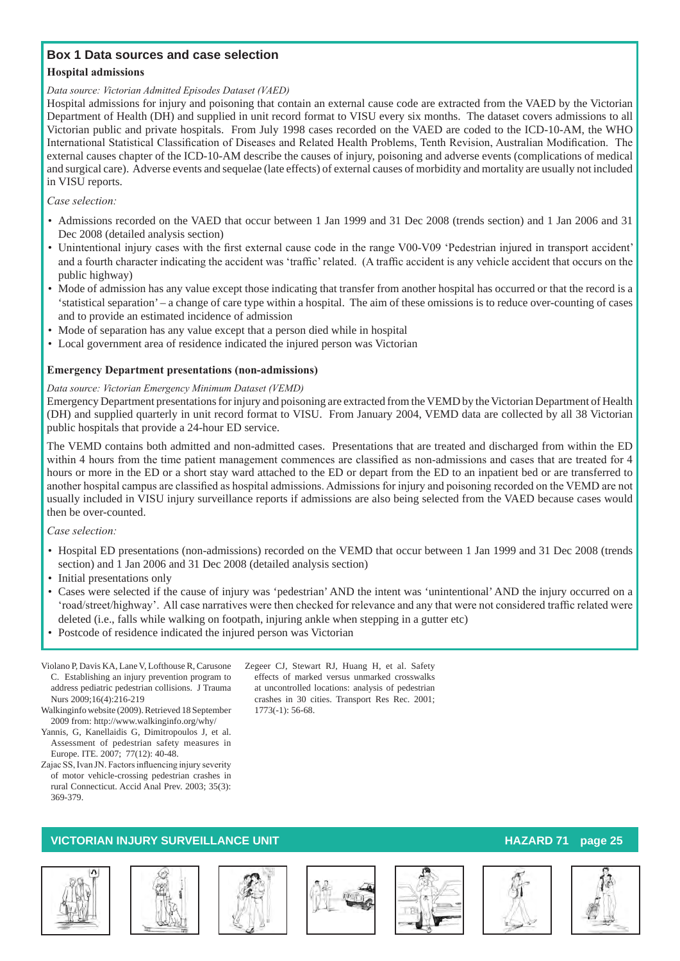### **Box 1 Data sources and case selection**

#### **Hospital admissions**

#### *Data source: Victorian Admitted Episodes Dataset (VAED)*

Hospital admissions for injury and poisoning that contain an external cause code are extracted from the VAED by the Victorian Department of Health (DH) and supplied in unit record format to VISU every six months. The dataset covers admissions to all Victorian public and private hospitals. From July 1998 cases recorded on the VAED are coded to the ICD-10-AM, the WHO International Statistical Classification of Diseases and Related Health Problems, Tenth Revision, Australian Modification. The external causes chapter of the ICD-10-AM describe the causes of injury, poisoning and adverse events (complications of medical and surgical care). Adverse events and sequelae (late effects) of external causes of morbidity and mortality are usually not included in VISU reports.

#### *Case selection:*

- • Admissions recorded on the VAED that occur between 1 Jan 1999 and 31 Dec 2008 (trends section) and 1 Jan 2006 and 31 Dec 2008 (detailed analysis section)
- • Unintentional injury cases with the first external cause code in the range V00-V09 'Pedestrian injured in transport accident' and a fourth character indicating the accident was 'traffic'related. (A traffic accident is any vehicle accident that occurs on the public highway)
- • Mode of admission has any value except those indicating that transfer from another hospital has occurred or that the record is a 'statistical separation' – a change of care type within a hospital. The aim of these omissions is to reduce over-counting of cases and to provide an estimated incidence of admission
- • Mode of separation has any value except that a person died while in hospital
- Local government area of residence indicated the injured person was Victorian

#### **Emergency Department presentations (non-admissions)**

#### *Data source: Victorian Emergency Minimum Dataset (VEMD)*

Emergency Department presentations for injury and poisoning are extracted from the VEMD by the Victorian Department of Health (DH) and supplied quarterly in unit record format to VISU. From January 2004, VEMD data are collected by all 38 Victorian public hospitals that provide a 24-hour ED service.

The VEMD contains both admitted and non-admitted cases. Presentations that are treated and discharged from within the ED within 4 hours from the time patient management commences are classified as non-admissions and cases that are treated for 4 hours or more in the ED or a short stay ward attached to the ED or depart from the ED to an inpatient bed or are transferred to another hospital campus are classified as hospital admissions. Admissions for injury and poisoning recorded on the VEMD are not usually included in VISU injury surveillance reports if admissions are also being selected from the VAED because cases would then be over-counted.

#### *Case selection:*

- • Hospital ED presentations (non-admissions) recorded on the VEMD that occur between 1 Jan 1999 and 31 Dec 2008 (trends section) and 1 Jan 2006 and 31 Dec 2008 (detailed analysis section)
- Initial presentations only
- • Cases were selected if the cause of injury was 'pedestrian' AND the intent was 'unintentional' AND the injury occurred on a 'road/street/highway'. All case narratives were then checked for relevance and any that were not considered traffic related were deleted (i.e., falls while walking on footpath, injuring ankle when stepping in a gutter etc)
- Postcode of residence indicated the injured person was Victorian
- Violano P, Davis KA, Lane V, Lofthouse R, Carusone C. Establishing an injury prevention program to address pediatric pedestrian collisions. J Trauma Nurs 2009;16(4):216-219
- Walkinginfo website (2009). Retrieved 18 September 2009 from: http://www.walkinginfo.org/why/
- Yannis, G, Kanellaidis G, Dimitropoulos J, et al. Assessment of pedestrian safety measures in Europe. ITE. 2007; 77(12): 40-48.
- Zajac SS, Ivan JN. Factors influencing injury severity of motor vehicle-crossing pedestrian crashes in rural Connecticut. Accid Anal Prev. 2003; 35(3): 369-379.

#### Zegeer CJ, Stewart RJ, Huang H, et al. Safety effects of marked versus unmarked crosswalks at uncontrolled locations: analysis of pedestrian crashes in 30 cities. Transport Res Rec. 2001; 1773(-1): 56-68.











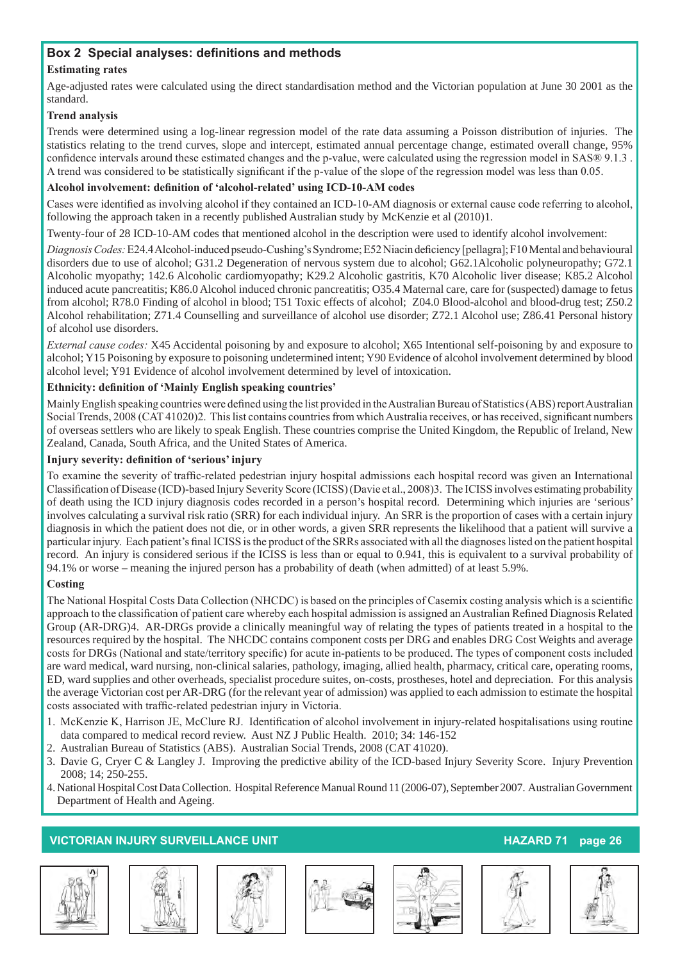### **Box 2 Special analyses: definitions and methods**

#### **Estimating rates**

Age-adjusted rates were calculated using the direct standardisation method and the Victorian population at June 30 2001 as the standard.

#### **Trend analysis**

Trends were determined using a log-linear regression model of the rate data assuming a Poisson distribution of injuries. The statistics relating to the trend curves, slope and intercept, estimated annual percentage change, estimated overall change, 95% confidence intervals around these estimated changes and the p-value, were calculated using the regression model in SAS® 9.1.3 . A trend was considered to be statistically significant if the p-value of the slope of the regression model was less than 0.05.

#### **Alcohol involvement: definition of 'alcohol-related' using ICD-10-AM codes**

Cases were identified as involving alcohol if they contained an ICD-10-AM diagnosis or external cause code referring to alcohol, following the approach taken in a recently published Australian study by McKenzie et al (2010)1.

Twenty-four of 28 ICD-10-AM codes that mentioned alcohol in the description were used to identify alcohol involvement:

*Diagnosis Codes:* E24.4Alcohol-induced pseudo-Cushing'sSyndrome;E52Niacin deficiency [pellagra];F10Mental and behavioural disorders due to use of alcohol; G31.2 Degeneration of nervous system due to alcohol; G62.1Alcoholic polyneuropathy; G72.1 Alcoholic myopathy; 142.6 Alcoholic cardiomyopathy; K29.2 Alcoholic gastritis, K70 Alcoholic liver disease; K85.2 Alcohol induced acute pancreatitis; K86.0 Alcohol induced chronic pancreatitis; O35.4 Maternal care, care for (suspected) damage to fetus from alcohol; R78.0 Finding of alcohol in blood; T51 Toxic effects of alcohol; Z04.0 Blood-alcohol and blood-drug test; Z50.2 Alcohol rehabilitation; Z71.4 Counselling and surveillance of alcohol use disorder; Z72.1 Alcohol use; Z86.41 Personal history of alcohol use disorders.

*External cause codes:* X45 Accidental poisoning by and exposure to alcohol; X65 Intentional self-poisoning by and exposure to alcohol; Y15 Poisoning by exposure to poisoning undetermined intent; Y90 Evidence of alcohol involvement determined by blood alcohol level; Y91 Evidence of alcohol involvement determined by level of intoxication.

#### **Ethnicity: definition of 'Mainly English speaking countries'**

Mainly English speaking countries were defined using the list provided in the Australian Bureau of Statistics (ABS) report Australian Social Trends, 2008 (CAT 41020)2. This list contains countries from which Australia receives, or has received, significant numbers of overseas settlers who are likely to speak English. These countries comprise the United Kingdom, the Republic of Ireland, New Zealand, Canada, South Africa, and the United States of America.

#### **Injury severity: definition of 'serious' injury**

To examine the severity of traffic-related pedestrian injury hospital admissions each hospital record was given an International Classification ofDisease (ICD)-based Injury Severity Score (ICISS)(Davie et al., 2008)3. The ICISS involves estimating probability of death using the ICD injury diagnosis codes recorded in a person's hospital record. Determining which injuries are 'serious' involves calculating a survival risk ratio (SRR) for each individual injury. An SRR is the proportion of cases with a certain injury diagnosis in which the patient does not die, or in other words, a given SRR represents the likelihood that a patient will survive a particular injury. Each patient's final ICISS isthe product of the SRRs associated with all the diagnoseslisted on the patient hospital record. An injury is considered serious if the ICISS is less than or equal to 0.941, this is equivalent to a survival probability of 94.1% or worse – meaning the injured person has a probability of death (when admitted) of at least 5.9%.

#### **Costing**

The National Hospital Costs Data Collection (NHCDC) is based on the principles of Casemix costing analysis which is a scientific approach to the classification of patient care whereby each hospital admission is assigned an Australian Refined Diagnosis Related Group (AR-DRG)4. AR-DRGs provide a clinically meaningful way of relating the types of patients treated in a hospital to the resources required by the hospital. The NHCDC contains component costs per DRG and enables DRG Cost Weights and average costs for DRGs (National and state/territory specific) for acute in-patients to be produced. The types of component costs included are ward medical, ward nursing, non-clinical salaries, pathology, imaging, allied health, pharmacy, critical care, operating rooms, ED, ward supplies and other overheads, specialist procedure suites, on-costs, prostheses, hotel and depreciation. For this analysis the average Victorian cost per AR-DRG (for the relevant year of admission) was applied to each admission to estimate the hospital costs associated with traffic-related pedestrian injury in Victoria.

- 1. McKenzie K, Harrison JE, McClure RJ. Identification of alcohol involvement in injury-related hospitalisations using routine data compared to medical record review. Aust NZ J Public Health. 2010; 34: 146-152
- 2. Australian Bureau of Statistics (ABS). Australian Social Trends, 2008 (CAT 41020).
- 3. Davie G, Cryer C & Langley J. Improving the predictive ability of the ICD-based Injury Severity Score. Injury Prevention 2008; 14; 250-255.
- 4.National Hospital Cost Data Collection. Hospital Reference Manual Round 11 (2006-07), September 2007. Australian Government Department of Health and Ageing.









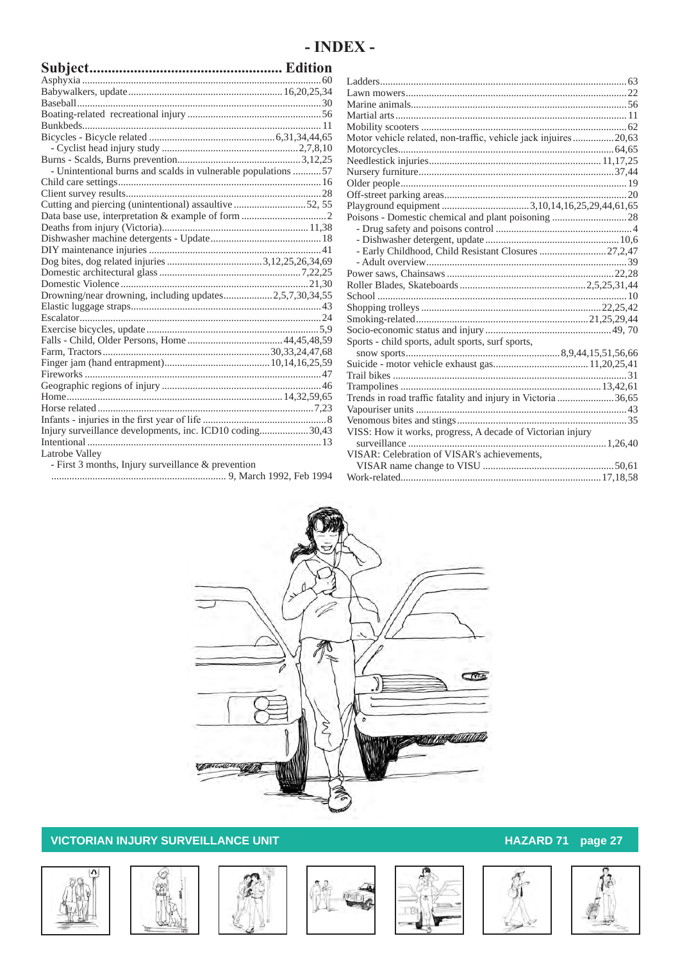# **- INDEX -**

| - Unintentional burns and scalds in vulnerable populations 57 |  |
|---------------------------------------------------------------|--|
|                                                               |  |
|                                                               |  |
| Cutting and piercing (unintentional) assaultive 52, 55        |  |
|                                                               |  |
|                                                               |  |
|                                                               |  |
|                                                               |  |
|                                                               |  |
|                                                               |  |
|                                                               |  |
| Drowning/near drowning, including updates2,5,7,30,34,55       |  |
|                                                               |  |
|                                                               |  |
|                                                               |  |
|                                                               |  |
|                                                               |  |
|                                                               |  |
|                                                               |  |
|                                                               |  |
|                                                               |  |
|                                                               |  |
|                                                               |  |
| Injury surveillance developments, inc. ICD10 coding30,43      |  |
|                                                               |  |
| Latrobe Valley                                                |  |
| - First 3 months, Injury surveillance $&$ prevention          |  |

.................................................................... 9, March 1992, Feb 1994

| Motor vehicle related, non-traffic, vehicle jack injuires20,63 |  |
|----------------------------------------------------------------|--|
|                                                                |  |
|                                                                |  |
|                                                                |  |
|                                                                |  |
|                                                                |  |
|                                                                |  |
| Poisons - Domestic chemical and plant poisoning 28             |  |
|                                                                |  |
|                                                                |  |
| - Early Childhood, Child Resistant Closures  27,2,47           |  |
|                                                                |  |
|                                                                |  |
|                                                                |  |
|                                                                |  |
|                                                                |  |
|                                                                |  |
|                                                                |  |
| Sports - child sports, adult sports, surf sports,              |  |
|                                                                |  |
|                                                                |  |
|                                                                |  |
|                                                                |  |
| Trends in road traffic fatality and injury in Victoria 36,65   |  |
|                                                                |  |
|                                                                |  |
| VISS: How it works, progress, A decade of Victorian injury     |  |
|                                                                |  |
| VISAR: Celebration of VISAR's achievements,                    |  |
|                                                                |  |
|                                                                |  |